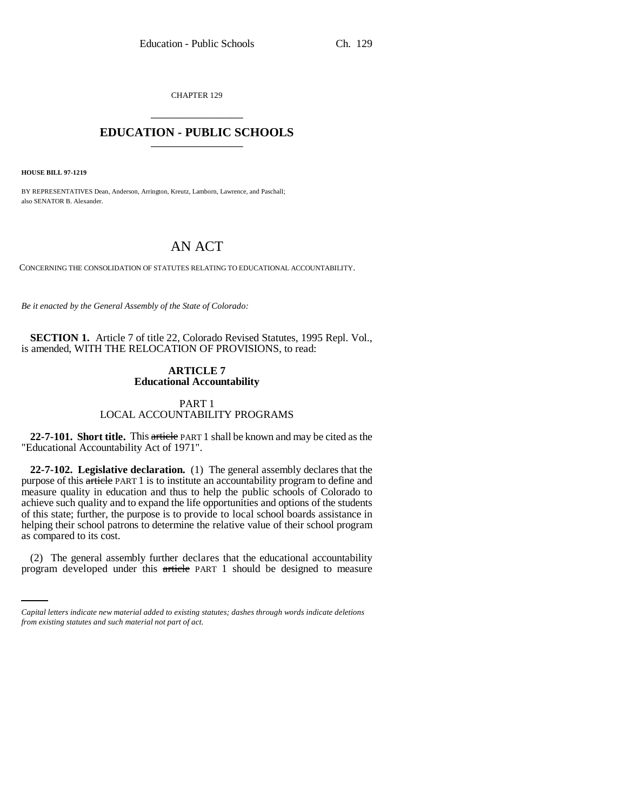CHAPTER 129 \_\_\_\_\_\_\_\_\_\_\_\_\_\_\_

# **EDUCATION - PUBLIC SCHOOLS** \_\_\_\_\_\_\_\_\_\_\_\_\_\_\_

**HOUSE BILL 97-1219**

BY REPRESENTATIVES Dean, Anderson, Arrington, Kreutz, Lamborn, Lawrence, and Paschall; also SENATOR B. Alexander.

# AN ACT

CONCERNING THE CONSOLIDATION OF STATUTES RELATING TO EDUCATIONAL ACCOUNTABILITY.

*Be it enacted by the General Assembly of the State of Colorado:*

**SECTION 1.** Article 7 of title 22, Colorado Revised Statutes, 1995 Repl. Vol., is amended, WITH THE RELOCATION OF PROVISIONS, to read:

## **ARTICLE 7 Educational Accountability**

# PART 1 LOCAL ACCOUNTABILITY PROGRAMS

**22-7-101. Short title.** This article PART 1 shall be known and may be cited as the "Educational Accountability Act of 1971".

**22-7-102. Legislative declaration.** (1) The general assembly declares that the purpose of this article PART 1 is to institute an accountability program to define and measure quality in education and thus to help the public schools of Colorado to achieve such quality and to expand the life opportunities and options of the students of this state; further, the purpose is to provide to local school boards assistance in helping their school patrons to determine the relative value of their school program as compared to its cost.

 (2) The general assembly further declares that the educational accountability program developed under this article PART 1 should be designed to measure

*Capital letters indicate new material added to existing statutes; dashes through words indicate deletions from existing statutes and such material not part of act.*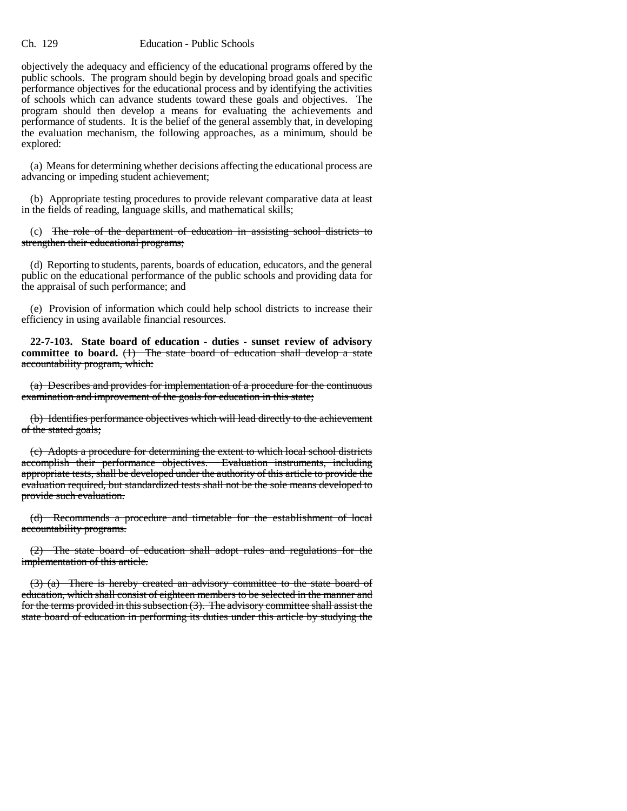#### Ch. 129 Education - Public Schools

objectively the adequacy and efficiency of the educational programs offered by the public schools. The program should begin by developing broad goals and specific performance objectives for the educational process and by identifying the activities of schools which can advance students toward these goals and objectives. The program should then develop a means for evaluating the achievements and performance of students. It is the belief of the general assembly that, in developing the evaluation mechanism, the following approaches, as a minimum, should be explored:

(a) Means for determining whether decisions affecting the educational process are advancing or impeding student achievement;

(b) Appropriate testing procedures to provide relevant comparative data at least in the fields of reading, language skills, and mathematical skills;

(c) The role of the department of education in assisting school districts to strengthen their educational programs;

(d) Reporting to students, parents, boards of education, educators, and the general public on the educational performance of the public schools and providing data for the appraisal of such performance; and

(e) Provision of information which could help school districts to increase their efficiency in using available financial resources.

**22-7-103. State board of education - duties - sunset review of advisory** committee to board. (1) The state board of education shall develop a state accountability program, which:

(a) Describes and provides for implementation of a procedure for the continuous examination and improvement of the goals for education in this state;

(b) Identifies performance objectives which will lead directly to the achievement of the stated goals;

(c) Adopts a procedure for determining the extent to which local school districts accomplish their performance objectives. Evaluation instruments, including appropriate tests, shall be developed under the authority of this article to provide the evaluation required, but standardized tests shall not be the sole means developed to provide such evaluation.

(d) Recommends a procedure and timetable for the establishment of local accountability programs.

(2) The state board of education shall adopt rules and regulations for the implementation of this article.

(3) (a) There is hereby created an advisory committee to the state board of education, which shall consist of eighteen members to be selected in the manner and for the terms provided in this subsection (3). The advisory committee shall assist the state board of education in performing its duties under this article by studying the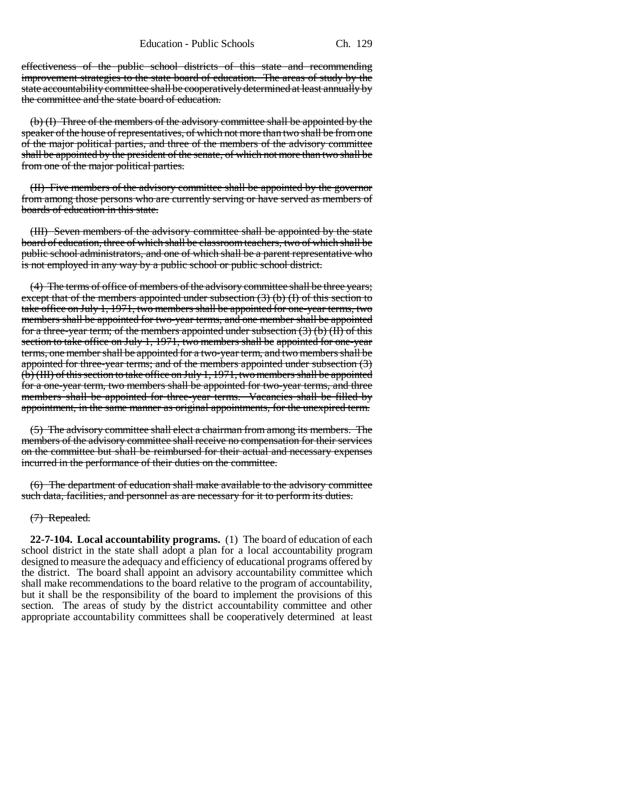effectiveness of the public school districts of this state and recommending improvement strategies to the state board of education. The areas of study by the state accountability committee shall be cooperatively determined at least annually by the committee and the state board of education.

(b) (I) Three of the members of the advisory committee shall be appointed by the speaker of the house of representatives, of which not more than two shall be from one of the major political parties, and three of the members of the advisory committee shall be appointed by the president of the senate, of which not more than two shall be from one of the major political parties.

(II) Five members of the advisory committee shall be appointed by the governor from among those persons who are currently serving or have served as members of boards of education in this state.

(III) Seven members of the advisory committee shall be appointed by the state board of education, three of which shall be classroom teachers, two of which shall be public school administrators, and one of which shall be a parent representative who is not employed in any way by a public school or public school district.

(4) The terms of office of members of the advisory committee shall be three years; except that of the members appointed under subsection (3) (b) (I) of this section to take office on July 1, 1971, two members shall be appointed for one-year terms, two members shall be appointed for two-year terms, and one member shall be appointed for a three-year term; of the members appointed under subsection (3) (b) (II) of this section to take office on July 1, 1971, two members shall be appointed for one-year terms, one member shall be appointed for a two-year term, and two members shall be appointed for three-year terms; and of the members appointed under subsection (3) (b) (III) of this section to take office on July 1, 1971, two members shall be appointed for a one-year term, two members shall be appointed for two-year terms, and three members shall be appointed for three-year terms. Vacancies shall be filled by appointment, in the same manner as original appointments, for the unexpired term.

(5) The advisory committee shall elect a chairman from among its members. The members of the advisory committee shall receive no compensation for their services on the committee but shall be reimbursed for their actual and necessary expenses incurred in the performance of their duties on the committee.

(6) The department of education shall make available to the advisory committee such data, facilities, and personnel as are necessary for it to perform its duties.

#### (7) Repealed.

**22-7-104. Local accountability programs.** (1) The board of education of each school district in the state shall adopt a plan for a local accountability program designed to measure the adequacy and efficiency of educational programs offered by the district. The board shall appoint an advisory accountability committee which shall make recommendations to the board relative to the program of accountability, but it shall be the responsibility of the board to implement the provisions of this section. The areas of study by the district accountability committee and other appropriate accountability committees shall be cooperatively determined at least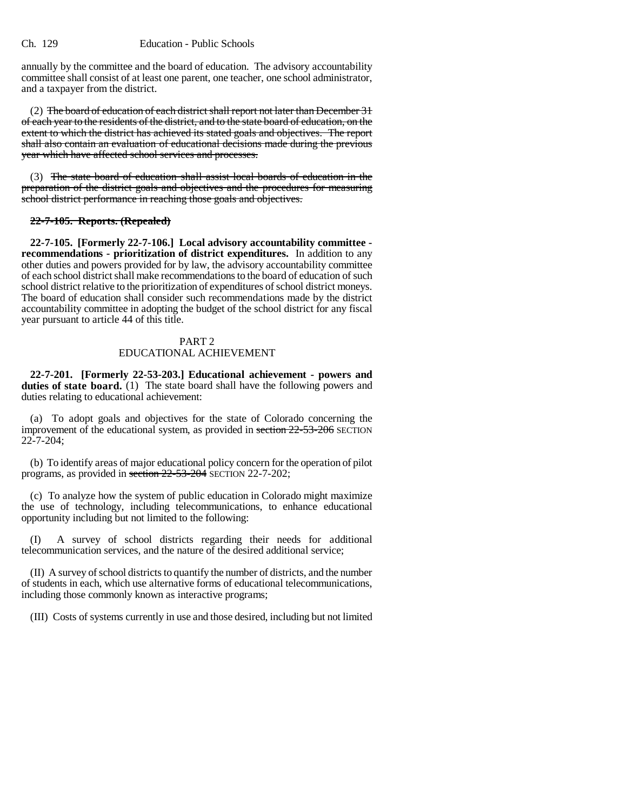annually by the committee and the board of education. The advisory accountability committee shall consist of at least one parent, one teacher, one school administrator, and a taxpayer from the district.

(2) The board of education of each district shall report not later than December 31 of each year to the residents of the district, and to the state board of education, on the extent to which the district has achieved its stated goals and objectives. The report shall also contain an evaluation of educational decisions made during the previous year which have affected school services and processes.

(3) The state board of education shall assist local boards of education in the preparation of the district goals and objectives and the procedures for measuring school district performance in reaching those goals and objectives.

## **22-7-105. Reports. (Repealed)**

**22-7-105. [Formerly 22-7-106.] Local advisory accountability committee recommendations - prioritization of district expenditures.** In addition to any other duties and powers provided for by law, the advisory accountability committee of each school district shall make recommendations to the board of education of such school district relative to the prioritization of expenditures of school district moneys. The board of education shall consider such recommendations made by the district accountability committee in adopting the budget of the school district for any fiscal year pursuant to article 44 of this title.

## PART 2 EDUCATIONAL ACHIEVEMENT

**22-7-201. [Formerly 22-53-203.] Educational achievement - powers and duties of state board.** (1) The state board shall have the following powers and duties relating to educational achievement:

(a) To adopt goals and objectives for the state of Colorado concerning the improvement of the educational system, as provided in section 22-53-206 SECTION 22-7-204;

(b) To identify areas of major educational policy concern for the operation of pilot programs, as provided in section 22-53-204 SECTION 22-7-202;

(c) To analyze how the system of public education in Colorado might maximize the use of technology, including telecommunications, to enhance educational opportunity including but not limited to the following:

(I) A survey of school districts regarding their needs for additional telecommunication services, and the nature of the desired additional service;

(II) A survey of school districts to quantify the number of districts, and the number of students in each, which use alternative forms of educational telecommunications, including those commonly known as interactive programs;

(III) Costs of systems currently in use and those desired, including but not limited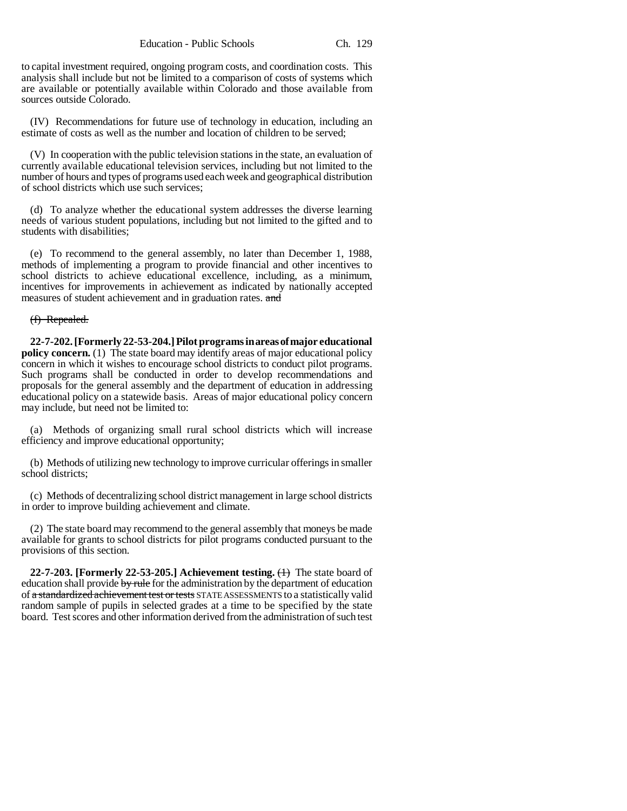to capital investment required, ongoing program costs, and coordination costs. This analysis shall include but not be limited to a comparison of costs of systems which are available or potentially available within Colorado and those available from sources outside Colorado.

(IV) Recommendations for future use of technology in education, including an estimate of costs as well as the number and location of children to be served;

(V) In cooperation with the public television stations in the state, an evaluation of currently available educational television services, including but not limited to the number of hours and types of programs used each week and geographical distribution of school districts which use such services;

(d) To analyze whether the educational system addresses the diverse learning needs of various student populations, including but not limited to the gifted and to students with disabilities;

(e) To recommend to the general assembly, no later than December 1, 1988, methods of implementing a program to provide financial and other incentives to school districts to achieve educational excellence, including, as a minimum, incentives for improvements in achievement as indicated by nationally accepted measures of student achievement and in graduation rates. and

### (f) Repealed.

**22-7-202. [Formerly 22-53-204.] Pilot programs in areas of major educational policy concern.** (1) The state board may identify areas of major educational policy concern in which it wishes to encourage school districts to conduct pilot programs. Such programs shall be conducted in order to develop recommendations and proposals for the general assembly and the department of education in addressing educational policy on a statewide basis. Areas of major educational policy concern may include, but need not be limited to:

(a) Methods of organizing small rural school districts which will increase efficiency and improve educational opportunity;

(b) Methods of utilizing new technology to improve curricular offerings in smaller school districts;

(c) Methods of decentralizing school district management in large school districts in order to improve building achievement and climate.

(2) The state board may recommend to the general assembly that moneys be made available for grants to school districts for pilot programs conducted pursuant to the provisions of this section.

**22-7-203. [Formerly 22-53-205.] Achievement testing.**  $\leftrightarrow$  The state board of education shall provide  $\frac{b}{v}$  rule for the administration by the department of education of a standardized achievement test or tests STATE ASSESSMENTS to a statistically valid random sample of pupils in selected grades at a time to be specified by the state board. Test scores and other information derived from the administration of such test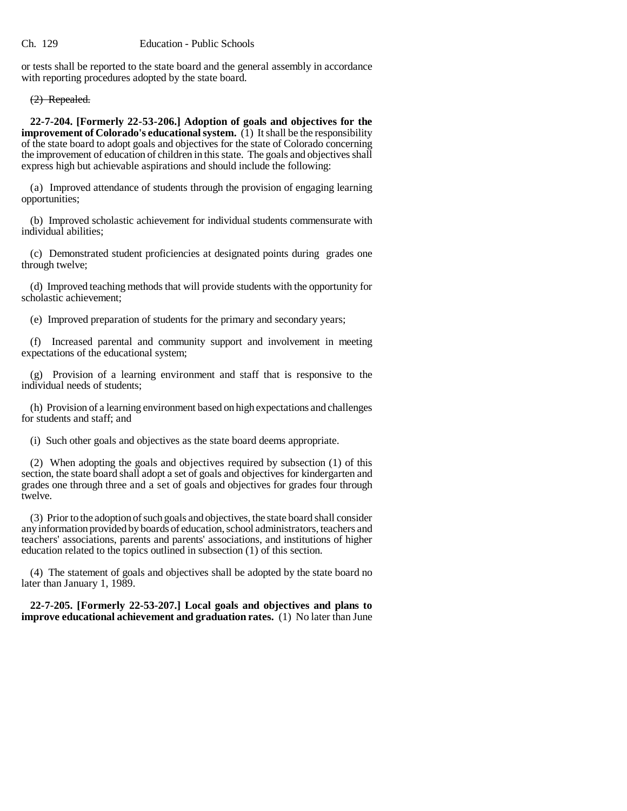or tests shall be reported to the state board and the general assembly in accordance with reporting procedures adopted by the state board.

(2) Repealed.

**22-7-204. [Formerly 22-53-206.] Adoption of goals and objectives for the improvement of Colorado's educational system.** (1) It shall be the responsibility of the state board to adopt goals and objectives for the state of Colorado concerning the improvement of education of children in this state. The goals and objectives shall express high but achievable aspirations and should include the following:

(a) Improved attendance of students through the provision of engaging learning opportunities;

(b) Improved scholastic achievement for individual students commensurate with individual abilities;

(c) Demonstrated student proficiencies at designated points during grades one through twelve;

(d) Improved teaching methods that will provide students with the opportunity for scholastic achievement;

(e) Improved preparation of students for the primary and secondary years;

(f) Increased parental and community support and involvement in meeting expectations of the educational system;

(g) Provision of a learning environment and staff that is responsive to the individual needs of students;

(h) Provision of a learning environment based on high expectations and challenges for students and staff; and

(i) Such other goals and objectives as the state board deems appropriate.

(2) When adopting the goals and objectives required by subsection (1) of this section, the state board shall adopt a set of goals and objectives for kindergarten and grades one through three and a set of goals and objectives for grades four through twelve.

(3) Prior to the adoption of such goals and objectives, the state board shall consider any information provided by boards of education, school administrators, teachers and teachers' associations, parents and parents' associations, and institutions of higher education related to the topics outlined in subsection (1) of this section.

(4) The statement of goals and objectives shall be adopted by the state board no later than January 1, 1989.

**22-7-205. [Formerly 22-53-207.] Local goals and objectives and plans to improve educational achievement and graduation rates.** (1) No later than June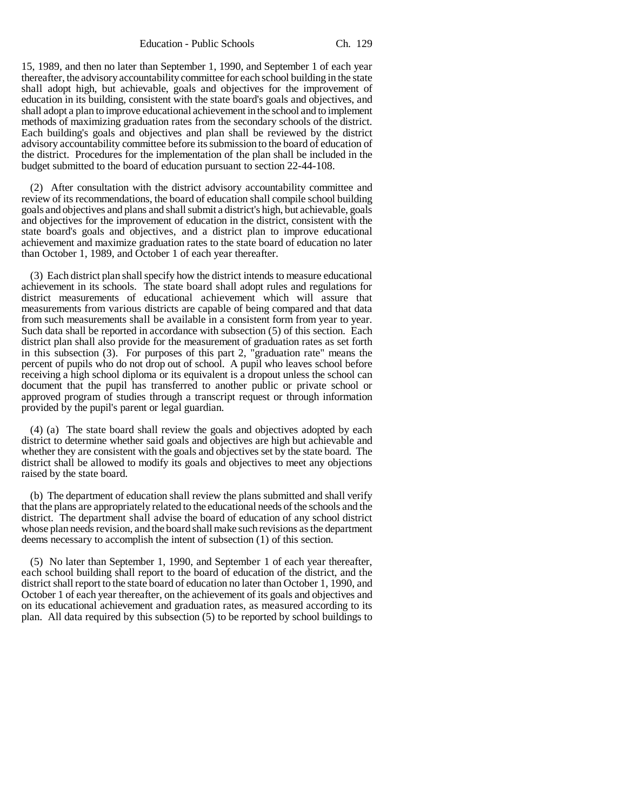Education - Public Schools Ch. 129

15, 1989, and then no later than September 1, 1990, and September 1 of each year thereafter, the advisory accountability committee for each school building in the state shall adopt high, but achievable, goals and objectives for the improvement of education in its building, consistent with the state board's goals and objectives, and shall adopt a plan to improve educational achievement in the school and to implement methods of maximizing graduation rates from the secondary schools of the district. Each building's goals and objectives and plan shall be reviewed by the district advisory accountability committee before its submission to the board of education of the district. Procedures for the implementation of the plan shall be included in the budget submitted to the board of education pursuant to section 22-44-108.

(2) After consultation with the district advisory accountability committee and review of its recommendations, the board of education shall compile school building goals and objectives and plans and shall submit a district's high, but achievable, goals and objectives for the improvement of education in the district, consistent with the state board's goals and objectives, and a district plan to improve educational achievement and maximize graduation rates to the state board of education no later than October 1, 1989, and October 1 of each year thereafter.

(3) Each district plan shall specify how the district intends to measure educational achievement in its schools. The state board shall adopt rules and regulations for district measurements of educational achievement which will assure that measurements from various districts are capable of being compared and that data from such measurements shall be available in a consistent form from year to year. Such data shall be reported in accordance with subsection (5) of this section. Each district plan shall also provide for the measurement of graduation rates as set forth in this subsection (3). For purposes of this part 2, "graduation rate" means the percent of pupils who do not drop out of school. A pupil who leaves school before receiving a high school diploma or its equivalent is a dropout unless the school can document that the pupil has transferred to another public or private school or approved program of studies through a transcript request or through information provided by the pupil's parent or legal guardian.

(4) (a) The state board shall review the goals and objectives adopted by each district to determine whether said goals and objectives are high but achievable and whether they are consistent with the goals and objectives set by the state board. The district shall be allowed to modify its goals and objectives to meet any objections raised by the state board.

(b) The department of education shall review the plans submitted and shall verify that the plans are appropriately related to the educational needs of the schools and the district. The department shall advise the board of education of any school district whose plan needs revision, and the board shall make such revisions as the department deems necessary to accomplish the intent of subsection (1) of this section.

(5) No later than September 1, 1990, and September 1 of each year thereafter, each school building shall report to the board of education of the district, and the district shall report to the state board of education no later than October 1, 1990, and October 1 of each year thereafter, on the achievement of its goals and objectives and on its educational achievement and graduation rates, as measured according to its plan. All data required by this subsection (5) to be reported by school buildings to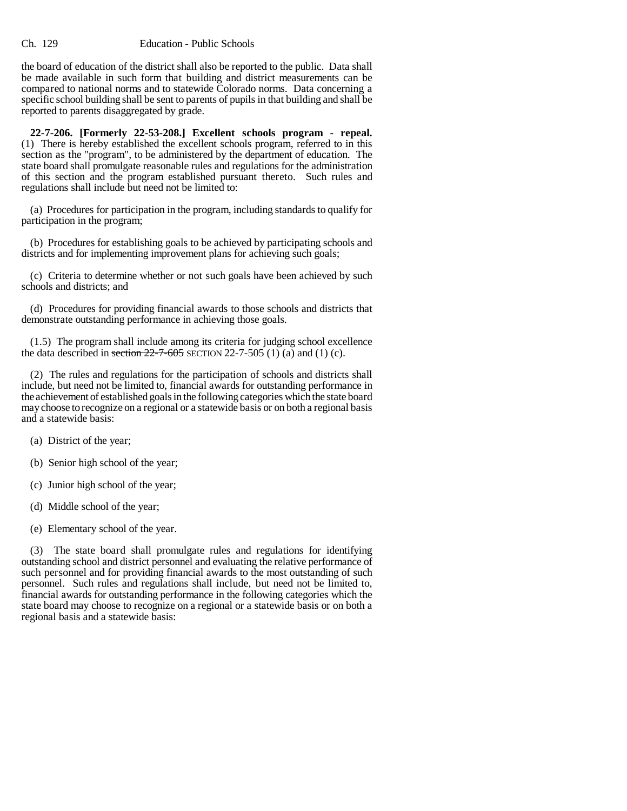the board of education of the district shall also be reported to the public. Data shall be made available in such form that building and district measurements can be compared to national norms and to statewide Colorado norms. Data concerning a specific school building shall be sent to parents of pupils in that building and shall be reported to parents disaggregated by grade.

**22-7-206. [Formerly 22-53-208.] Excellent schools program - repeal.** (1) There is hereby established the excellent schools program, referred to in this section as the "program", to be administered by the department of education. The state board shall promulgate reasonable rules and regulations for the administration of this section and the program established pursuant thereto. Such rules and regulations shall include but need not be limited to:

(a) Procedures for participation in the program, including standards to qualify for participation in the program;

(b) Procedures for establishing goals to be achieved by participating schools and districts and for implementing improvement plans for achieving such goals;

(c) Criteria to determine whether or not such goals have been achieved by such schools and districts; and

(d) Procedures for providing financial awards to those schools and districts that demonstrate outstanding performance in achieving those goals.

(1.5) The program shall include among its criteria for judging school excellence the data described in section  $22-7-605$  SECTION 22-7-505 (1) (a) and (1) (c).

(2) The rules and regulations for the participation of schools and districts shall include, but need not be limited to, financial awards for outstanding performance in the achievement of established goals in the following categories which the state board may choose to recognize on a regional or a statewide basis or on both a regional basis and a statewide basis:

- (a) District of the year;
- (b) Senior high school of the year;
- (c) Junior high school of the year;
- (d) Middle school of the year;
- (e) Elementary school of the year.

(3) The state board shall promulgate rules and regulations for identifying outstanding school and district personnel and evaluating the relative performance of such personnel and for providing financial awards to the most outstanding of such personnel. Such rules and regulations shall include, but need not be limited to, financial awards for outstanding performance in the following categories which the state board may choose to recognize on a regional or a statewide basis or on both a regional basis and a statewide basis: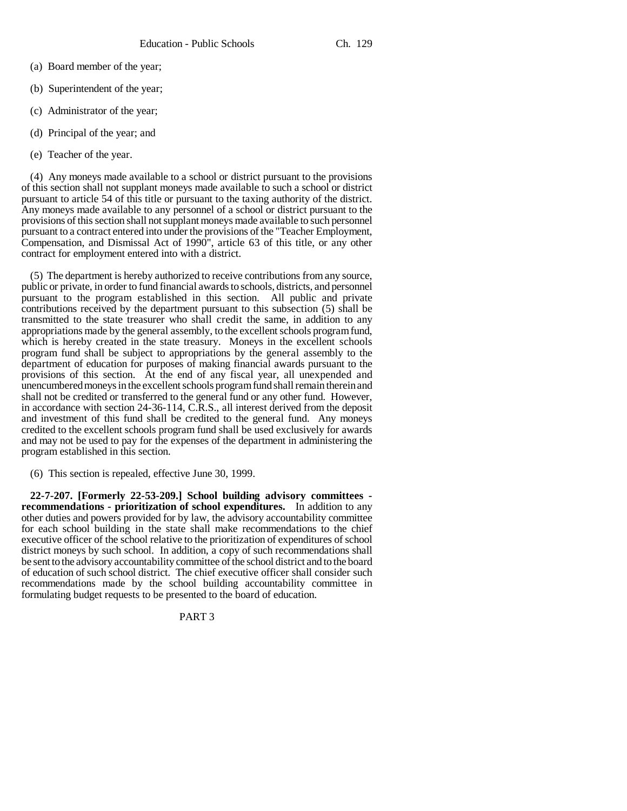- (a) Board member of the year;
- (b) Superintendent of the year;
- (c) Administrator of the year;
- (d) Principal of the year; and
- (e) Teacher of the year.

(4) Any moneys made available to a school or district pursuant to the provisions of this section shall not supplant moneys made available to such a school or district pursuant to article 54 of this title or pursuant to the taxing authority of the district. Any moneys made available to any personnel of a school or district pursuant to the provisions of this section shall not supplant moneys made available to such personnel pursuant to a contract entered into under the provisions of the "Teacher Employment, Compensation, and Dismissal Act of 1990", article 63 of this title, or any other contract for employment entered into with a district.

(5) The department is hereby authorized to receive contributions from any source, public or private, in order to fund financial awards to schools, districts, and personnel pursuant to the program established in this section. All public and private contributions received by the department pursuant to this subsection (5) shall be transmitted to the state treasurer who shall credit the same, in addition to any appropriations made by the general assembly, to the excellent schools program fund, which is hereby created in the state treasury. Moneys in the excellent schools program fund shall be subject to appropriations by the general assembly to the department of education for purposes of making financial awards pursuant to the provisions of this section. At the end of any fiscal year, all unexpended and unencumbered moneys in the excellent schools program fund shall remain therein and shall not be credited or transferred to the general fund or any other fund. However, in accordance with section 24-36-114, C.R.S., all interest derived from the deposit and investment of this fund shall be credited to the general fund. Any moneys credited to the excellent schools program fund shall be used exclusively for awards and may not be used to pay for the expenses of the department in administering the program established in this section.

(6) This section is repealed, effective June 30, 1999.

**22-7-207. [Formerly 22-53-209.] School building advisory committees recommendations - prioritization of school expenditures.** In addition to any other duties and powers provided for by law, the advisory accountability committee for each school building in the state shall make recommendations to the chief executive officer of the school relative to the prioritization of expenditures of school district moneys by such school. In addition, a copy of such recommendations shall be sent to the advisory accountability committee of the school district and to the board of education of such school district. The chief executive officer shall consider such recommendations made by the school building accountability committee in formulating budget requests to be presented to the board of education.

# PART 3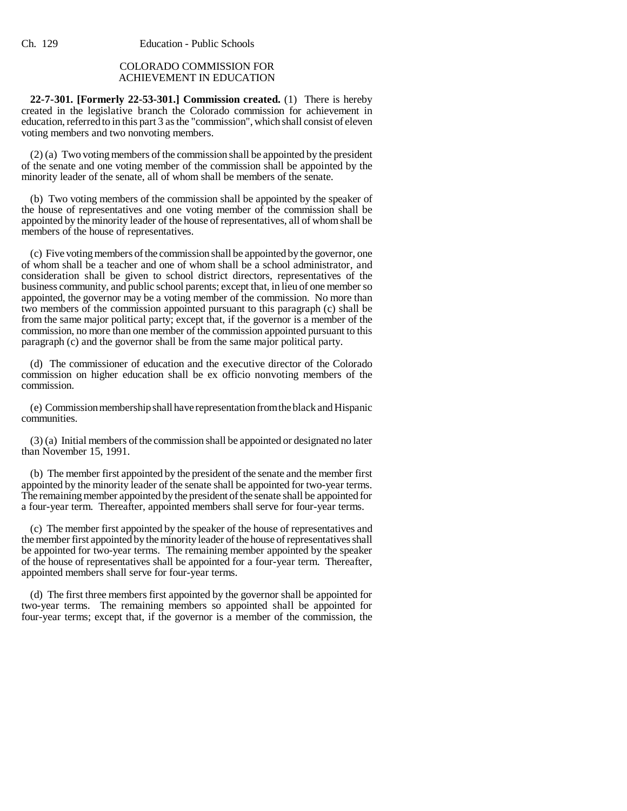# COLORADO COMMISSION FOR ACHIEVEMENT IN EDUCATION

**22-7-301. [Formerly 22-53-301.] Commission created.** (1) There is hereby created in the legislative branch the Colorado commission for achievement in education, referred to in this part 3 as the "commission", which shall consist of eleven voting members and two nonvoting members.

(2) (a) Two voting members of the commission shall be appointed by the president of the senate and one voting member of the commission shall be appointed by the minority leader of the senate, all of whom shall be members of the senate.

(b) Two voting members of the commission shall be appointed by the speaker of the house of representatives and one voting member of the commission shall be appointed by the minority leader of the house of representatives, all of whom shall be members of the house of representatives.

(c) Five voting members of the commission shall be appointed by the governor, one of whom shall be a teacher and one of whom shall be a school administrator, and consideration shall be given to school district directors, representatives of the business community, and public school parents; except that, in lieu of one member so appointed, the governor may be a voting member of the commission. No more than two members of the commission appointed pursuant to this paragraph (c) shall be from the same major political party; except that, if the governor is a member of the commission, no more than one member of the commission appointed pursuant to this paragraph (c) and the governor shall be from the same major political party.

(d) The commissioner of education and the executive director of the Colorado commission on higher education shall be ex officio nonvoting members of the commission.

(e) Commission membership shall have representation from the black and Hispanic communities.

(3) (a) Initial members of the commission shall be appointed or designated no later than November 15, 1991.

(b) The member first appointed by the president of the senate and the member first appointed by the minority leader of the senate shall be appointed for two-year terms. The remaining member appointed by the president of the senate shall be appointed for a four-year term. Thereafter, appointed members shall serve for four-year terms.

(c) The member first appointed by the speaker of the house of representatives and the member first appointed by the minority leader of the house of representatives shall be appointed for two-year terms. The remaining member appointed by the speaker of the house of representatives shall be appointed for a four-year term. Thereafter, appointed members shall serve for four-year terms.

(d) The first three members first appointed by the governor shall be appointed for two-year terms. The remaining members so appointed shall be appointed for four-year terms; except that, if the governor is a member of the commission, the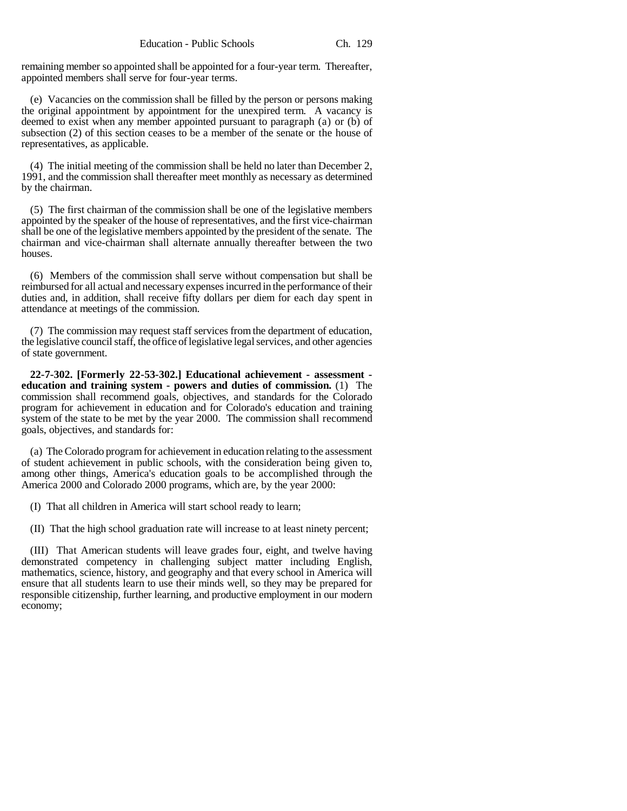remaining member so appointed shall be appointed for a four-year term. Thereafter, appointed members shall serve for four-year terms.

(e) Vacancies on the commission shall be filled by the person or persons making the original appointment by appointment for the unexpired term. A vacancy is deemed to exist when any member appointed pursuant to paragraph (a) or (b) of subsection (2) of this section ceases to be a member of the senate or the house of representatives, as applicable.

(4) The initial meeting of the commission shall be held no later than December 2, 1991, and the commission shall thereafter meet monthly as necessary as determined by the chairman.

(5) The first chairman of the commission shall be one of the legislative members appointed by the speaker of the house of representatives, and the first vice-chairman shall be one of the legislative members appointed by the president of the senate. The chairman and vice-chairman shall alternate annually thereafter between the two houses.

(6) Members of the commission shall serve without compensation but shall be reimbursed for all actual and necessary expenses incurred in the performance of their duties and, in addition, shall receive fifty dollars per diem for each day spent in attendance at meetings of the commission.

(7) The commission may request staff services from the department of education, the legislative council staff, the office of legislative legal services, and other agencies of state government.

**22-7-302. [Formerly 22-53-302.] Educational achievement - assessment education and training system - powers and duties of commission.** (1) The commission shall recommend goals, objectives, and standards for the Colorado program for achievement in education and for Colorado's education and training system of the state to be met by the year 2000. The commission shall recommend goals, objectives, and standards for:

(a) The Colorado program for achievement in education relating to the assessment of student achievement in public schools, with the consideration being given to, among other things, America's education goals to be accomplished through the America 2000 and Colorado 2000 programs, which are, by the year 2000:

(I) That all children in America will start school ready to learn;

(II) That the high school graduation rate will increase to at least ninety percent;

(III) That American students will leave grades four, eight, and twelve having demonstrated competency in challenging subject matter including English, mathematics, science, history, and geography and that every school in America will ensure that all students learn to use their minds well, so they may be prepared for responsible citizenship, further learning, and productive employment in our modern economy;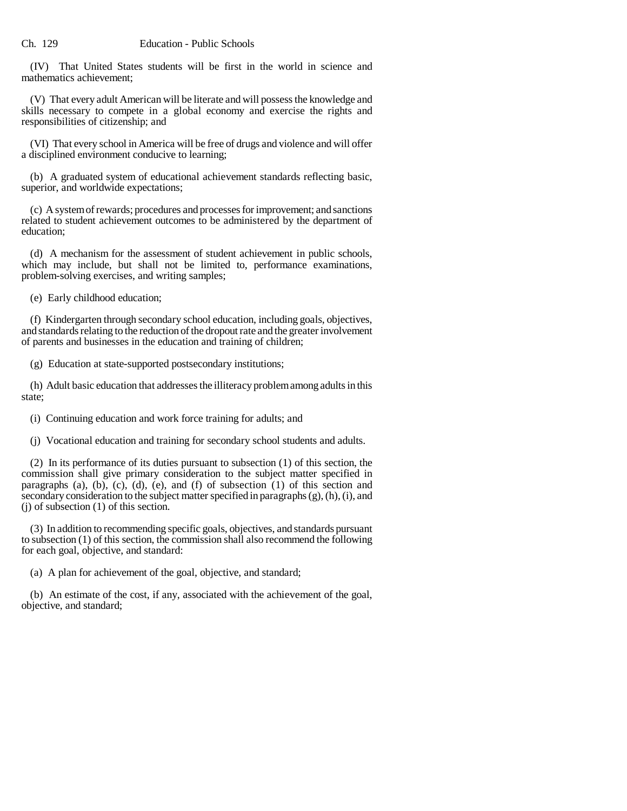(IV) That United States students will be first in the world in science and mathematics achievement;

(V) That every adult American will be literate and will possess the knowledge and skills necessary to compete in a global economy and exercise the rights and responsibilities of citizenship; and

(VI) That every school in America will be free of drugs and violence and will offer a disciplined environment conducive to learning;

(b) A graduated system of educational achievement standards reflecting basic, superior, and worldwide expectations;

(c) A system of rewards; procedures and processes for improvement; and sanctions related to student achievement outcomes to be administered by the department of education;

(d) A mechanism for the assessment of student achievement in public schools, which may include, but shall not be limited to, performance examinations, problem-solving exercises, and writing samples;

(e) Early childhood education;

(f) Kindergarten through secondary school education, including goals, objectives, and standards relating to the reduction of the dropout rate and the greater involvement of parents and businesses in the education and training of children;

(g) Education at state-supported postsecondary institutions;

(h) Adult basic education that addresses the illiteracy problem among adults in this state;

(i) Continuing education and work force training for adults; and

(j) Vocational education and training for secondary school students and adults.

(2) In its performance of its duties pursuant to subsection (1) of this section, the commission shall give primary consideration to the subject matter specified in paragraphs (a), (b), (c), (d), (e), and (f) of subsection  $(1)$  of this section and secondary consideration to the subject matter specified in paragraphs (g), (h), (i), and (j) of subsection (1) of this section.

(3) In addition to recommending specific goals, objectives, and standards pursuant to subsection (1) of this section, the commission shall also recommend the following for each goal, objective, and standard:

(a) A plan for achievement of the goal, objective, and standard;

(b) An estimate of the cost, if any, associated with the achievement of the goal, objective, and standard;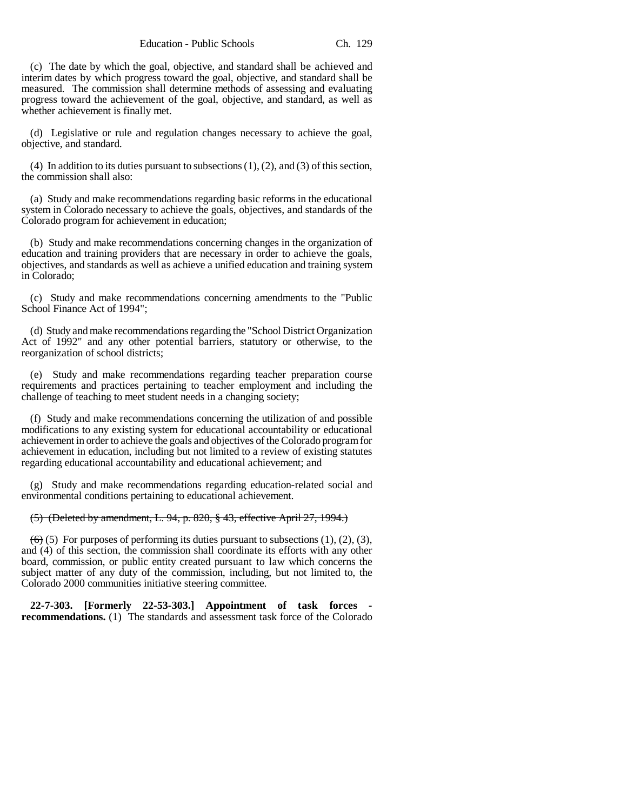(c) The date by which the goal, objective, and standard shall be achieved and interim dates by which progress toward the goal, objective, and standard shall be measured. The commission shall determine methods of assessing and evaluating progress toward the achievement of the goal, objective, and standard, as well as whether achievement is finally met.

(d) Legislative or rule and regulation changes necessary to achieve the goal, objective, and standard.

(4) In addition to its duties pursuant to subsections (1), (2), and (3) of this section, the commission shall also:

(a) Study and make recommendations regarding basic reforms in the educational system in Colorado necessary to achieve the goals, objectives, and standards of the Colorado program for achievement in education;

(b) Study and make recommendations concerning changes in the organization of education and training providers that are necessary in order to achieve the goals, objectives, and standards as well as achieve a unified education and training system in Colorado;

(c) Study and make recommendations concerning amendments to the "Public School Finance Act of 1994";

(d) Study and make recommendations regarding the "School District Organization Act of 1992" and any other potential barriers, statutory or otherwise, to the reorganization of school districts;

(e) Study and make recommendations regarding teacher preparation course requirements and practices pertaining to teacher employment and including the challenge of teaching to meet student needs in a changing society;

(f) Study and make recommendations concerning the utilization of and possible modifications to any existing system for educational accountability or educational achievement in order to achieve the goals and objectives of the Colorado program for achievement in education, including but not limited to a review of existing statutes regarding educational accountability and educational achievement; and

(g) Study and make recommendations regarding education-related social and environmental conditions pertaining to educational achievement.

### (5) (Deleted by amendment, L. 94, p. 820, § 43, effective April 27, 1994.)

 $(6)$  (5) For purposes of performing its duties pursuant to subsections (1), (2), (3), and (4) of this section, the commission shall coordinate its efforts with any other board, commission, or public entity created pursuant to law which concerns the subject matter of any duty of the commission, including, but not limited to, the Colorado 2000 communities initiative steering committee.

**22-7-303. [Formerly 22-53-303.] Appointment of task forces recommendations.** (1) The standards and assessment task force of the Colorado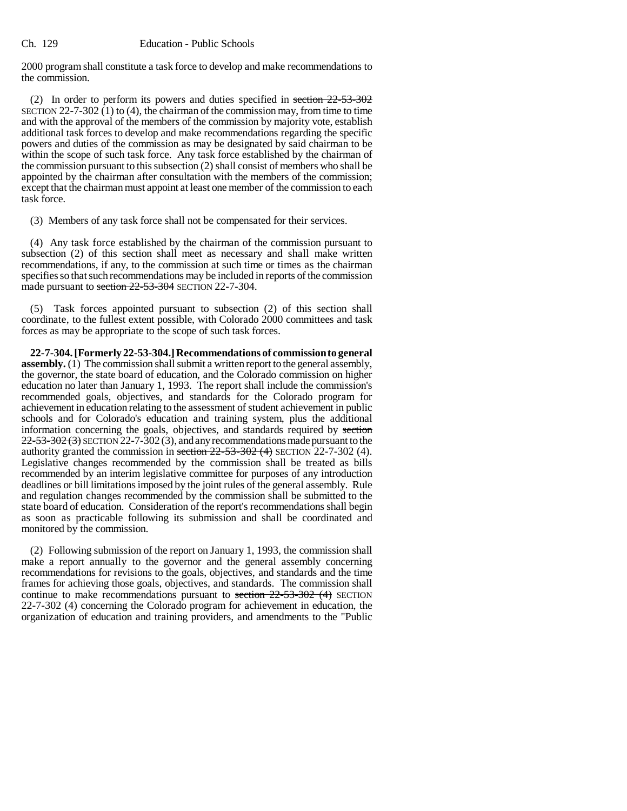2000 program shall constitute a task force to develop and make recommendations to the commission.

(2) In order to perform its powers and duties specified in section  $22-53-302$ SECTION 22-7-302 (1) to (4), the chairman of the commission may, from time to time and with the approval of the members of the commission by majority vote, establish additional task forces to develop and make recommendations regarding the specific powers and duties of the commission as may be designated by said chairman to be within the scope of such task force. Any task force established by the chairman of the commission pursuant to this subsection (2) shall consist of members who shall be appointed by the chairman after consultation with the members of the commission; except that the chairman must appoint at least one member of the commission to each task force.

(3) Members of any task force shall not be compensated for their services.

(4) Any task force established by the chairman of the commission pursuant to subsection (2) of this section shall meet as necessary and shall make written recommendations, if any, to the commission at such time or times as the chairman specifies so that such recommendations may be included in reports of the commission made pursuant to section 22-53-304 SECTION 22-7-304.

(5) Task forces appointed pursuant to subsection (2) of this section shall coordinate, to the fullest extent possible, with Colorado 2000 committees and task forces as may be appropriate to the scope of such task forces.

**22-7-304. [Formerly 22-53-304.] Recommendations of commission to general assembly.** (1) The commission shall submit a written report to the general assembly, the governor, the state board of education, and the Colorado commission on higher education no later than January 1, 1993. The report shall include the commission's recommended goals, objectives, and standards for the Colorado program for achievement in education relating to the assessment of student achievement in public schools and for Colorado's education and training system, plus the additional information concerning the goals, objectives, and standards required by section  $22-53-302(3)$  SECTION 22-7-302(3), and any recommendations made pursuant to the authority granted the commission in section  $22-53-302$  (4) SECTION 22-7-302 (4). Legislative changes recommended by the commission shall be treated as bills recommended by an interim legislative committee for purposes of any introduction deadlines or bill limitations imposed by the joint rules of the general assembly. Rule and regulation changes recommended by the commission shall be submitted to the state board of education. Consideration of the report's recommendations shall begin as soon as practicable following its submission and shall be coordinated and monitored by the commission.

(2) Following submission of the report on January 1, 1993, the commission shall make a report annually to the governor and the general assembly concerning recommendations for revisions to the goals, objectives, and standards and the time frames for achieving those goals, objectives, and standards. The commission shall continue to make recommendations pursuant to section 22-53-302 (4) SECTION 22-7-302 (4) concerning the Colorado program for achievement in education, the organization of education and training providers, and amendments to the "Public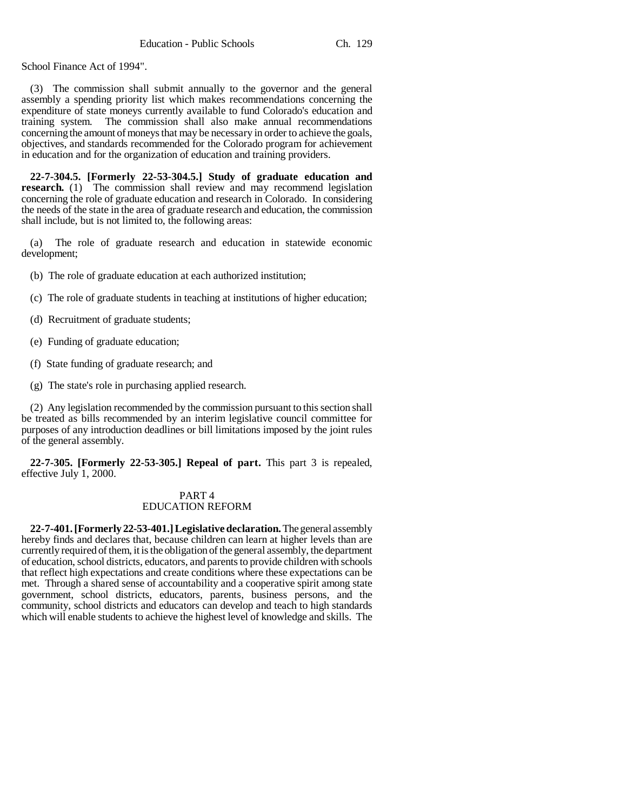School Finance Act of 1994".

(3) The commission shall submit annually to the governor and the general assembly a spending priority list which makes recommendations concerning the expenditure of state moneys currently available to fund Colorado's education and training system. The commission shall also make annual recommendations concerning the amount of moneys that may be necessary in order to achieve the goals, objectives, and standards recommended for the Colorado program for achievement in education and for the organization of education and training providers.

**22-7-304.5. [Formerly 22-53-304.5.] Study of graduate education and research.** (1) The commission shall review and may recommend legislation concerning the role of graduate education and research in Colorado. In considering the needs of the state in the area of graduate research and education, the commission shall include, but is not limited to, the following areas:

(a) The role of graduate research and education in statewide economic development;

- (b) The role of graduate education at each authorized institution;
- (c) The role of graduate students in teaching at institutions of higher education;
- (d) Recruitment of graduate students;
- (e) Funding of graduate education;
- (f) State funding of graduate research; and
- (g) The state's role in purchasing applied research.

(2) Any legislation recommended by the commission pursuant to this section shall be treated as bills recommended by an interim legislative council committee for purposes of any introduction deadlines or bill limitations imposed by the joint rules of the general assembly.

**22-7-305. [Formerly 22-53-305.] Repeal of part.** This part 3 is repealed, effective July 1, 2000.

## PART 4 EDUCATION REFORM

**22-7-401. [Formerly 22-53-401.] Legislative declaration.** The general assembly hereby finds and declares that, because children can learn at higher levels than are currently required of them, it is the obligation of the general assembly, the department of education, school districts, educators, and parents to provide children with schools that reflect high expectations and create conditions where these expectations can be met. Through a shared sense of accountability and a cooperative spirit among state government, school districts, educators, parents, business persons, and the community, school districts and educators can develop and teach to high standards which will enable students to achieve the highest level of knowledge and skills. The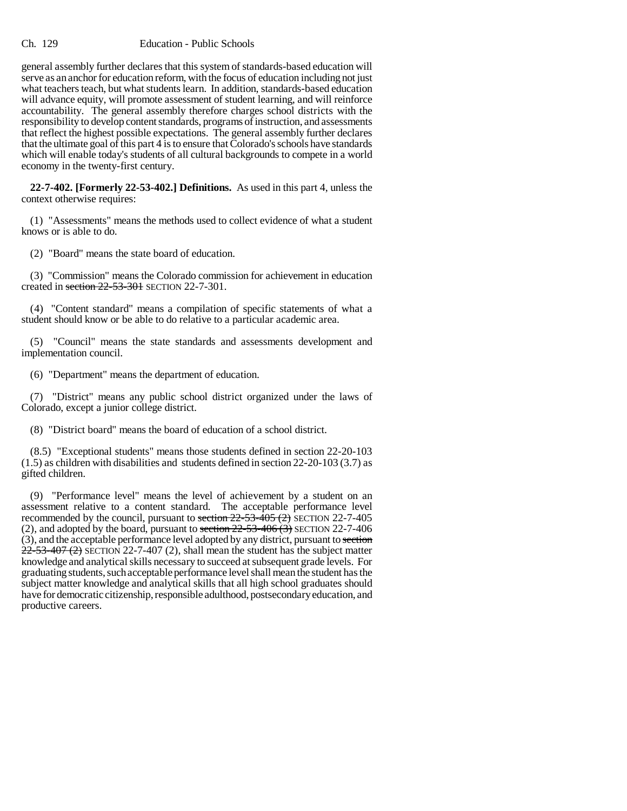general assembly further declares that this system of standards-based education will serve as an anchor for education reform, with the focus of education including not just what teachers teach, but what students learn. In addition, standards-based education will advance equity, will promote assessment of student learning, and will reinforce accountability. The general assembly therefore charges school districts with the responsibility to develop content standards, programs of instruction, and assessments that reflect the highest possible expectations. The general assembly further declares that the ultimate goal of this part 4 is to ensure that Colorado's schools have standards which will enable today's students of all cultural backgrounds to compete in a world economy in the twenty-first century.

**22-7-402. [Formerly 22-53-402.] Definitions.** As used in this part 4, unless the context otherwise requires:

(1) "Assessments" means the methods used to collect evidence of what a student knows or is able to do.

(2) "Board" means the state board of education.

(3) "Commission" means the Colorado commission for achievement in education created in section 22-53-301 SECTION 22-7-301.

(4) "Content standard" means a compilation of specific statements of what a student should know or be able to do relative to a particular academic area.

(5) "Council" means the state standards and assessments development and implementation council.

(6) "Department" means the department of education.

(7) "District" means any public school district organized under the laws of Colorado, except a junior college district.

(8) "District board" means the board of education of a school district.

(8.5) "Exceptional students" means those students defined in section 22-20-103 (1.5) as children with disabilities and students defined in section 22-20-103 (3.7) as gifted children.

(9) "Performance level" means the level of achievement by a student on an assessment relative to a content standard. The acceptable performance level recommended by the council, pursuant to section  $22-53-405$  (2) SECTION 22-7-405 (2), and adopted by the board, pursuant to section  $22-53-406$  (3) SECTION 22-7-406 (3), and the acceptable performance level adopted by any district, pursuant to section  $22-53-407(2)$  SECTION 22-7-407 (2), shall mean the student has the subject matter knowledge and analytical skills necessary to succeed at subsequent grade levels. For graduating students, such acceptable performance level shall mean the student has the subject matter knowledge and analytical skills that all high school graduates should have for democratic citizenship, responsible adulthood, postsecondary education, and productive careers.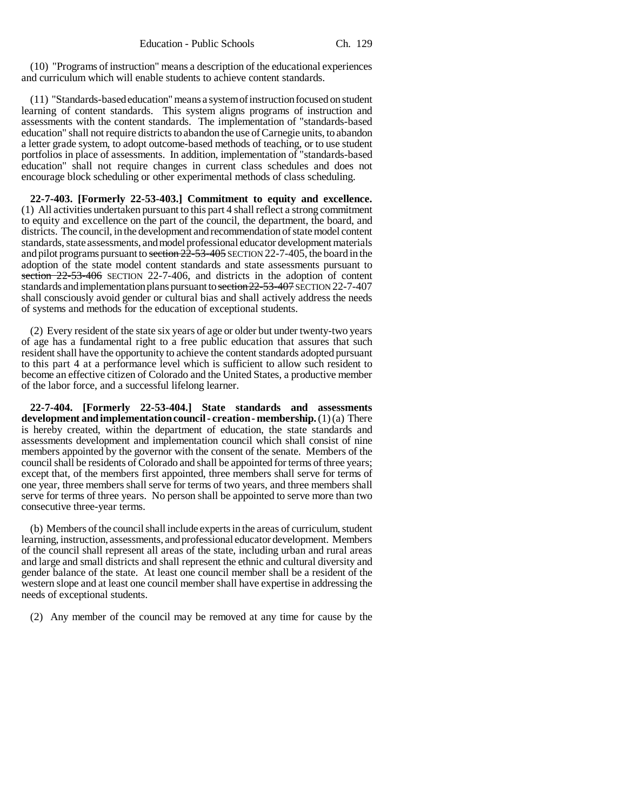(10) "Programs of instruction" means a description of the educational experiences and curriculum which will enable students to achieve content standards.

(11) "Standards-based education" means a system of instruction focused on student learning of content standards. This system aligns programs of instruction and assessments with the content standards. The implementation of "standards-based education" shall not require districts to abandon the use of Carnegie units, to abandon a letter grade system, to adopt outcome-based methods of teaching, or to use student portfolios in place of assessments. In addition, implementation of "standards-based education" shall not require changes in current class schedules and does not encourage block scheduling or other experimental methods of class scheduling.

**22-7-403. [Formerly 22-53-403.] Commitment to equity and excellence.** (1) All activities undertaken pursuant to this part 4 shall reflect a strong commitment to equity and excellence on the part of the council, the department, the board, and districts. The council, in the development and recommendation of state model content standards, state assessments, and model professional educator development materials and pilot programs pursuant to section  $2\overline{2}$ -53-405 SECTION 22-7-405, the board in the adoption of the state model content standards and state assessments pursuant to section 22-53-406 SECTION 22-7-406, and districts in the adoption of content standards and implementation plans pursuant to section 22-53-407 SECTION 22-7-407 shall consciously avoid gender or cultural bias and shall actively address the needs of systems and methods for the education of exceptional students.

(2) Every resident of the state six years of age or older but under twenty-two years of age has a fundamental right to a free public education that assures that such resident shall have the opportunity to achieve the content standards adopted pursuant to this part 4 at a performance level which is sufficient to allow such resident to become an effective citizen of Colorado and the United States, a productive member of the labor force, and a successful lifelong learner.

**22-7-404. [Formerly 22-53-404.] State standards and assessments development and implementation council - creation - membership.** (1) (a) There is hereby created, within the department of education, the state standards and assessments development and implementation council which shall consist of nine members appointed by the governor with the consent of the senate. Members of the council shall be residents of Colorado and shall be appointed for terms of three years; except that, of the members first appointed, three members shall serve for terms of one year, three members shall serve for terms of two years, and three members shall serve for terms of three years. No person shall be appointed to serve more than two consecutive three-year terms.

(b) Members of the council shall include experts in the areas of curriculum, student learning, instruction, assessments, and professional educator development. Members of the council shall represent all areas of the state, including urban and rural areas and large and small districts and shall represent the ethnic and cultural diversity and gender balance of the state. At least one council member shall be a resident of the western slope and at least one council member shall have expertise in addressing the needs of exceptional students.

(2) Any member of the council may be removed at any time for cause by the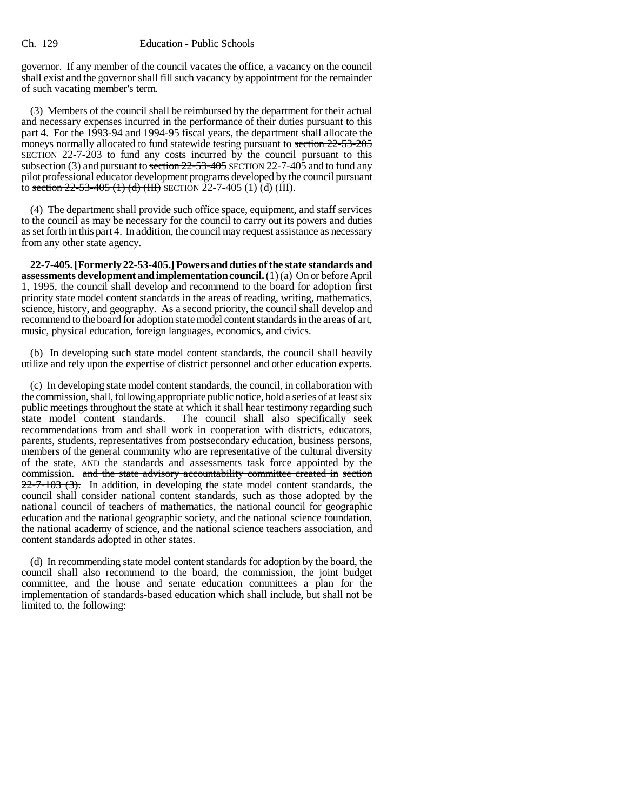#### Ch. 129 Education - Public Schools

governor. If any member of the council vacates the office, a vacancy on the council shall exist and the governor shall fill such vacancy by appointment for the remainder of such vacating member's term.

(3) Members of the council shall be reimbursed by the department for their actual and necessary expenses incurred in the performance of their duties pursuant to this part 4. For the 1993-94 and 1994-95 fiscal years, the department shall allocate the moneys normally allocated to fund statewide testing pursuant to section  $22-53-205$ SECTION 22-7-203 to fund any costs incurred by the council pursuant to this subsection (3) and pursuant to section 22-53-405 SECTION 22-7-405 and to fund any pilot professional educator development programs developed by the council pursuant to section  $22-53-405$  (1) (d) (III) SECTION  $22-7-405$  (1) (d) (III).

(4) The department shall provide such office space, equipment, and staff services to the council as may be necessary for the council to carry out its powers and duties as set forth in this part 4. In addition, the council may request assistance as necessary from any other state agency.

**22-7-405. [Formerly 22-53-405.] Powers and duties of the state standards and assessments development and implementation council.** (1) (a) On or before April 1, 1995, the council shall develop and recommend to the board for adoption first priority state model content standards in the areas of reading, writing, mathematics, science, history, and geography. As a second priority, the council shall develop and recommend to the board for adoption state model content standards in the areas of art, music, physical education, foreign languages, economics, and civics.

(b) In developing such state model content standards, the council shall heavily utilize and rely upon the expertise of district personnel and other education experts.

(c) In developing state model content standards, the council, in collaboration with the commission, shall, following appropriate public notice, hold a series of at least six public meetings throughout the state at which it shall hear testimony regarding such state model content standards. The council shall also specifically seek recommendations from and shall work in cooperation with districts, educators, parents, students, representatives from postsecondary education, business persons, members of the general community who are representative of the cultural diversity of the state, AND the standards and assessments task force appointed by the commission. and the state advisory accountability committee created in section  $22-7-103$  (3). In addition, in developing the state model content standards, the council shall consider national content standards, such as those adopted by the national council of teachers of mathematics, the national council for geographic education and the national geographic society, and the national science foundation, the national academy of science, and the national science teachers association, and content standards adopted in other states.

(d) In recommending state model content standards for adoption by the board, the council shall also recommend to the board, the commission, the joint budget committee, and the house and senate education committees a plan for the implementation of standards-based education which shall include, but shall not be limited to, the following: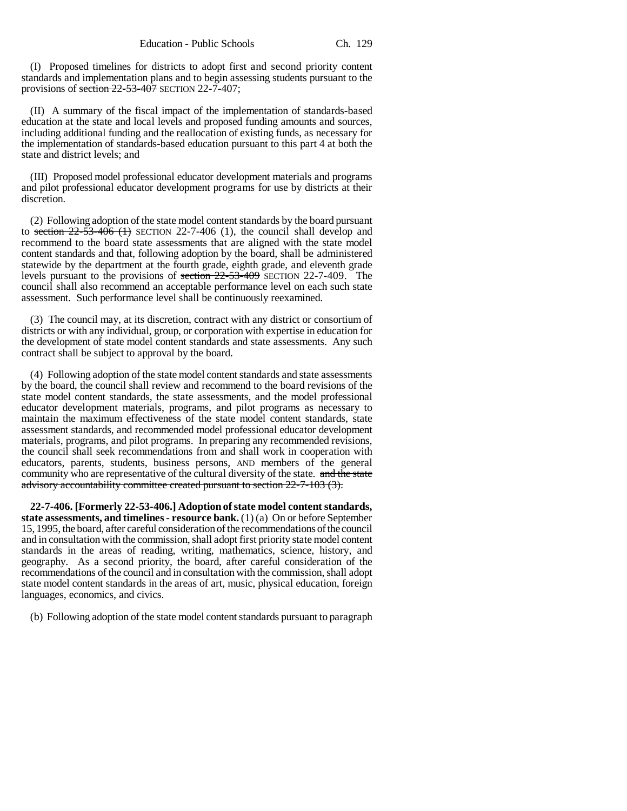(I) Proposed timelines for districts to adopt first and second priority content standards and implementation plans and to begin assessing students pursuant to the provisions of section  $22-53-407$  SECTION 22-7-407;

(II) A summary of the fiscal impact of the implementation of standards-based education at the state and local levels and proposed funding amounts and sources, including additional funding and the reallocation of existing funds, as necessary for the implementation of standards-based education pursuant to this part 4 at both the state and district levels; and

(III) Proposed model professional educator development materials and programs and pilot professional educator development programs for use by districts at their discretion.

(2) Following adoption of the state model content standards by the board pursuant to section  $22-53-406$  (1) SECTION 22-7-406 (1), the council shall develop and recommend to the board state assessments that are aligned with the state model content standards and that, following adoption by the board, shall be administered statewide by the department at the fourth grade, eighth grade, and eleventh grade levels pursuant to the provisions of section 22-53-409 SECTION 22-7-409. The council shall also recommend an acceptable performance level on each such state assessment. Such performance level shall be continuously reexamined.

(3) The council may, at its discretion, contract with any district or consortium of districts or with any individual, group, or corporation with expertise in education for the development of state model content standards and state assessments. Any such contract shall be subject to approval by the board.

(4) Following adoption of the state model content standards and state assessments by the board, the council shall review and recommend to the board revisions of the state model content standards, the state assessments, and the model professional educator development materials, programs, and pilot programs as necessary to maintain the maximum effectiveness of the state model content standards, state assessment standards, and recommended model professional educator development materials, programs, and pilot programs. In preparing any recommended revisions, the council shall seek recommendations from and shall work in cooperation with educators, parents, students, business persons, AND members of the general community who are representative of the cultural diversity of the state. and the state advisory accountability committee created pursuant to section 22-7-103 (3).

**22-7-406. [Formerly 22-53-406.] Adoption of state model content standards, state assessments, and timelines - resource bank.** (1) (a) On or before September 15, 1995, the board, after careful consideration of the recommendations of the council and in consultation with the commission, shall adopt first priority state model content standards in the areas of reading, writing, mathematics, science, history, and geography. As a second priority, the board, after careful consideration of the recommendations of the council and in consultation with the commission, shall adopt state model content standards in the areas of art, music, physical education, foreign languages, economics, and civics.

(b) Following adoption of the state model content standards pursuant to paragraph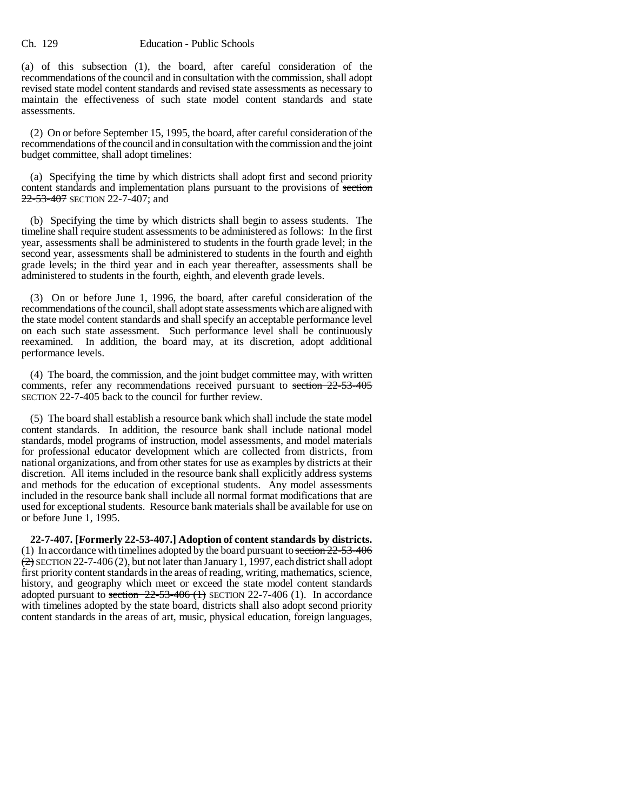#### Ch. 129 Education - Public Schools

(a) of this subsection (1), the board, after careful consideration of the recommendations of the council and in consultation with the commission, shall adopt revised state model content standards and revised state assessments as necessary to maintain the effectiveness of such state model content standards and state assessments.

(2) On or before September 15, 1995, the board, after careful consideration of the recommendations of the council and in consultation with the commission and the joint budget committee, shall adopt timelines:

(a) Specifying the time by which districts shall adopt first and second priority content standards and implementation plans pursuant to the provisions of section 22-53-407 SECTION 22-7-407; and

(b) Specifying the time by which districts shall begin to assess students. The timeline shall require student assessments to be administered as follows: In the first year, assessments shall be administered to students in the fourth grade level; in the second year, assessments shall be administered to students in the fourth and eighth grade levels; in the third year and in each year thereafter, assessments shall be administered to students in the fourth, eighth, and eleventh grade levels.

(3) On or before June 1, 1996, the board, after careful consideration of the recommendations of the council, shall adopt state assessments which are aligned with the state model content standards and shall specify an acceptable performance level on each such state assessment. Such performance level shall be continuously reexamined. In addition, the board may, at its discretion, adopt additional performance levels.

(4) The board, the commission, and the joint budget committee may, with written comments, refer any recommendations received pursuant to section 22-53-405 SECTION 22-7-405 back to the council for further review.

(5) The board shall establish a resource bank which shall include the state model content standards. In addition, the resource bank shall include national model standards, model programs of instruction, model assessments, and model materials for professional educator development which are collected from districts, from national organizations, and from other states for use as examples by districts at their discretion. All items included in the resource bank shall explicitly address systems and methods for the education of exceptional students. Any model assessments included in the resource bank shall include all normal format modifications that are used for exceptional students. Resource bank materials shall be available for use on or before June 1, 1995.

**22-7-407. [Formerly 22-53-407.] Adoption of content standards by districts.** (1) In accordance with timelines adopted by the board pursuant to section 22-53-406  $(2)$  SECTION 22-7-406 (2), but not later than January 1, 1997, each district shall adopt first priority content standards in the areas of reading, writing, mathematics, science, history, and geography which meet or exceed the state model content standards adopted pursuant to section  $22-53-406$  (1) SECTION 22-7-406 (1). In accordance with timelines adopted by the state board, districts shall also adopt second priority content standards in the areas of art, music, physical education, foreign languages,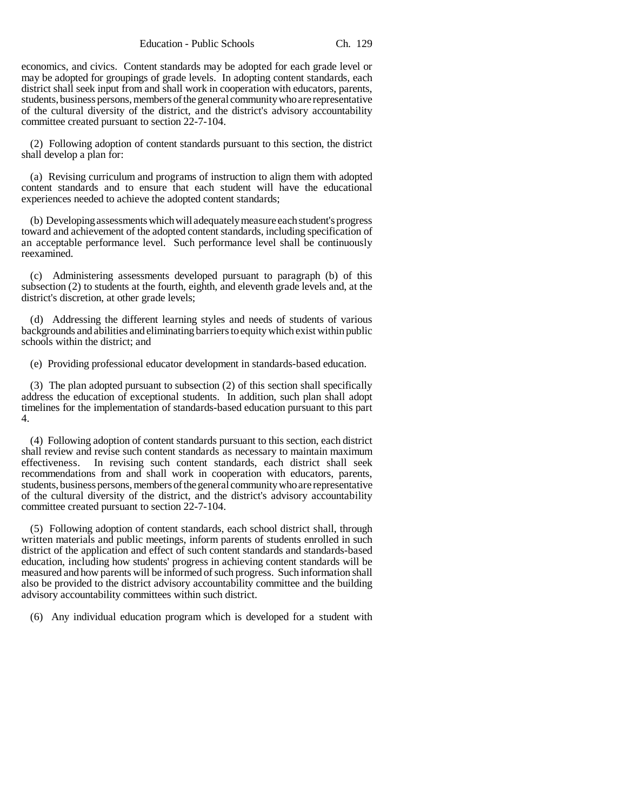Education - Public Schools Ch. 129

economics, and civics. Content standards may be adopted for each grade level or may be adopted for groupings of grade levels. In adopting content standards, each district shall seek input from and shall work in cooperation with educators, parents, students, business persons, members of the general community who are representative of the cultural diversity of the district, and the district's advisory accountability committee created pursuant to section 22-7-104.

(2) Following adoption of content standards pursuant to this section, the district shall develop a plan for:

(a) Revising curriculum and programs of instruction to align them with adopted content standards and to ensure that each student will have the educational experiences needed to achieve the adopted content standards;

(b) Developing assessments which will adequately measure each student's progress toward and achievement of the adopted content standards, including specification of an acceptable performance level. Such performance level shall be continuously reexamined.

(c) Administering assessments developed pursuant to paragraph (b) of this subsection (2) to students at the fourth, eighth, and eleventh grade levels and, at the district's discretion, at other grade levels;

(d) Addressing the different learning styles and needs of students of various backgrounds and abilities and eliminating barriers to equity which exist within public schools within the district; and

(e) Providing professional educator development in standards-based education.

(3) The plan adopted pursuant to subsection (2) of this section shall specifically address the education of exceptional students. In addition, such plan shall adopt timelines for the implementation of standards-based education pursuant to this part 4.

(4) Following adoption of content standards pursuant to this section, each district shall review and revise such content standards as necessary to maintain maximum effectiveness. In revising such content standards, each district shall seek recommendations from and shall work in cooperation with educators, parents, students, business persons, members of the general community who are representative of the cultural diversity of the district, and the district's advisory accountability committee created pursuant to section 22-7-104.

(5) Following adoption of content standards, each school district shall, through written materials and public meetings, inform parents of students enrolled in such district of the application and effect of such content standards and standards-based education, including how students' progress in achieving content standards will be measured and how parents will be informed of such progress. Such information shall also be provided to the district advisory accountability committee and the building advisory accountability committees within such district.

(6) Any individual education program which is developed for a student with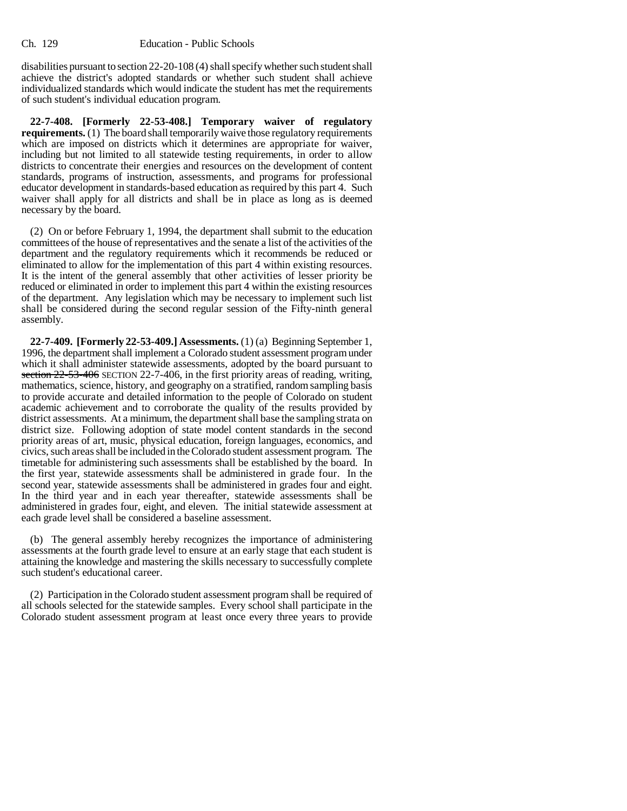disabilities pursuant to section 22-20-108 (4) shall specify whether such student shall achieve the district's adopted standards or whether such student shall achieve individualized standards which would indicate the student has met the requirements of such student's individual education program.

**22-7-408. [Formerly 22-53-408.] Temporary waiver of regulatory requirements.** (1) The board shall temporarily waive those regulatory requirements which are imposed on districts which it determines are appropriate for waiver, including but not limited to all statewide testing requirements, in order to allow districts to concentrate their energies and resources on the development of content standards, programs of instruction, assessments, and programs for professional educator development in standards-based education as required by this part 4. Such waiver shall apply for all districts and shall be in place as long as is deemed necessary by the board.

(2) On or before February 1, 1994, the department shall submit to the education committees of the house of representatives and the senate a list of the activities of the department and the regulatory requirements which it recommends be reduced or eliminated to allow for the implementation of this part 4 within existing resources. It is the intent of the general assembly that other activities of lesser priority be reduced or eliminated in order to implement this part 4 within the existing resources of the department. Any legislation which may be necessary to implement such list shall be considered during the second regular session of the Fifty-ninth general assembly.

**22-7-409. [Formerly 22-53-409.] Assessments.** (1) (a) Beginning September 1, 1996, the department shall implement a Colorado student assessment program under which it shall administer statewide assessments, adopted by the board pursuant to section  $22-53-406$  SECTION 22-7-406, in the first priority areas of reading, writing, mathematics, science, history, and geography on a stratified, random sampling basis to provide accurate and detailed information to the people of Colorado on student academic achievement and to corroborate the quality of the results provided by district assessments. At a minimum, the department shall base the sampling strata on district size. Following adoption of state model content standards in the second priority areas of art, music, physical education, foreign languages, economics, and civics, such areas shall be included in the Colorado student assessment program. The timetable for administering such assessments shall be established by the board. In the first year, statewide assessments shall be administered in grade four. In the second year, statewide assessments shall be administered in grades four and eight. In the third year and in each year thereafter, statewide assessments shall be administered in grades four, eight, and eleven. The initial statewide assessment at each grade level shall be considered a baseline assessment.

(b) The general assembly hereby recognizes the importance of administering assessments at the fourth grade level to ensure at an early stage that each student is attaining the knowledge and mastering the skills necessary to successfully complete such student's educational career.

(2) Participation in the Colorado student assessment program shall be required of all schools selected for the statewide samples. Every school shall participate in the Colorado student assessment program at least once every three years to provide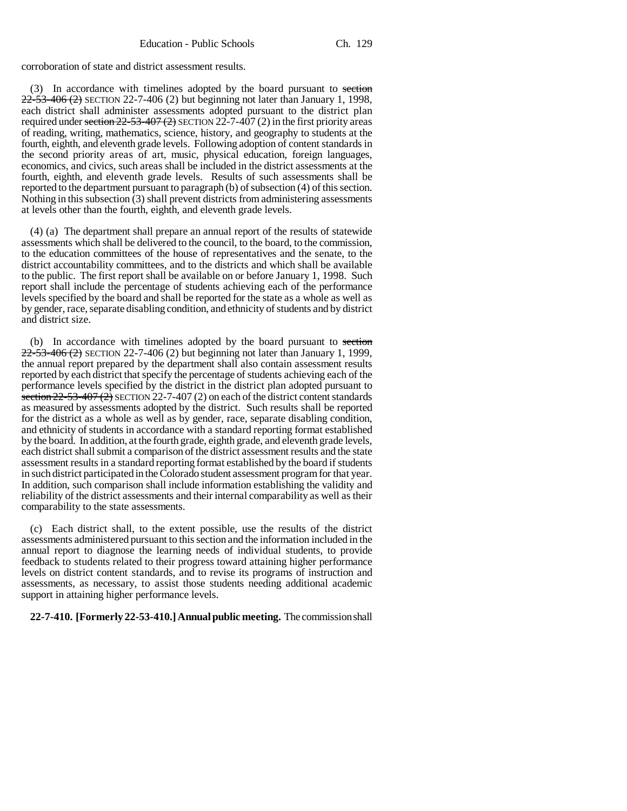corroboration of state and district assessment results.

(3) In accordance with timelines adopted by the board pursuant to section  $22-53-406(2)$  SECTION 22-7-406 (2) but beginning not later than January 1, 1998, each district shall administer assessments adopted pursuant to the district plan required under section  $22-53-407(2)$  SECTION  $22-7-407(2)$  in the first priority areas of reading, writing, mathematics, science, history, and geography to students at the fourth, eighth, and eleventh grade levels. Following adoption of content standards in the second priority areas of art, music, physical education, foreign languages, economics, and civics, such areas shall be included in the district assessments at the fourth, eighth, and eleventh grade levels. Results of such assessments shall be reported to the department pursuant to paragraph (b) of subsection (4) of this section. Nothing in this subsection  $(3)$  shall prevent districts from administering assessments at levels other than the fourth, eighth, and eleventh grade levels.

(4) (a) The department shall prepare an annual report of the results of statewide assessments which shall be delivered to the council, to the board, to the commission, to the education committees of the house of representatives and the senate, to the district accountability committees, and to the districts and which shall be available to the public. The first report shall be available on or before January 1, 1998. Such report shall include the percentage of students achieving each of the performance levels specified by the board and shall be reported for the state as a whole as well as by gender, race, separate disabling condition, and ethnicity of students and by district and district size.

(b) In accordance with timelines adopted by the board pursuant to section  $22-53-406(2)$  SECTION 22-7-406 (2) but beginning not later than January 1, 1999, the annual report prepared by the department shall also contain assessment results reported by each district that specify the percentage of students achieving each of the performance levels specified by the district in the district plan adopted pursuant to section  $22-53-407(2)$  SECTION 22-7-407 (2) on each of the district content standards as measured by assessments adopted by the district. Such results shall be reported for the district as a whole as well as by gender, race, separate disabling condition, and ethnicity of students in accordance with a standard reporting format established by the board. In addition, at the fourth grade, eighth grade, and eleventh grade levels, each district shall submit a comparison of the district assessment results and the state assessment results in a standard reporting format established by the board if students in such district participated in the Colorado student assessment program for that year. In addition, such comparison shall include information establishing the validity and reliability of the district assessments and their internal comparability as well as their comparability to the state assessments.

(c) Each district shall, to the extent possible, use the results of the district assessments administered pursuant to this section and the information included in the annual report to diagnose the learning needs of individual students, to provide feedback to students related to their progress toward attaining higher performance levels on district content standards, and to revise its programs of instruction and assessments, as necessary, to assist those students needing additional academic support in attaining higher performance levels.

## **22-7-410. [Formerly 22-53-410.] Annual public meeting.** The commission shall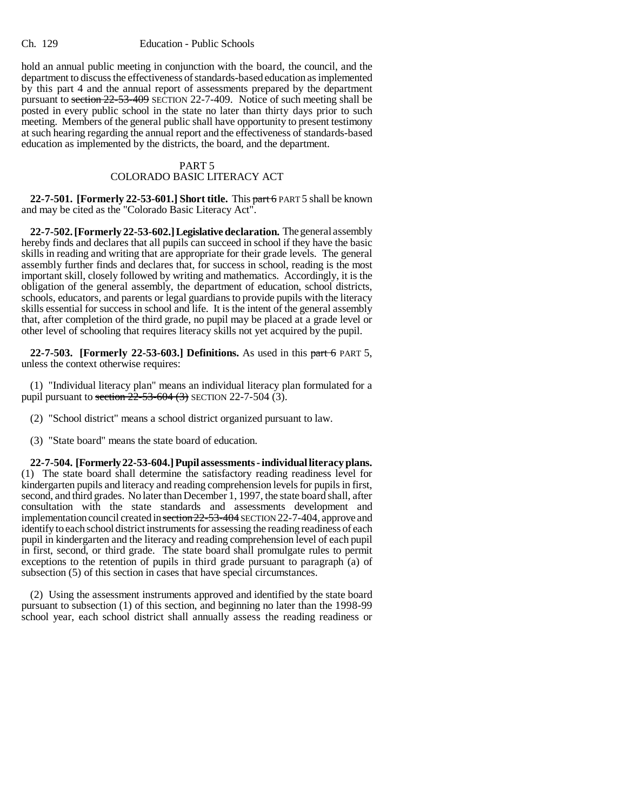hold an annual public meeting in conjunction with the board, the council, and the department to discuss the effectiveness of standards-based education as implemented by this part 4 and the annual report of assessments prepared by the department pursuant to section 22-53-409 SECTION 22-7-409. Notice of such meeting shall be posted in every public school in the state no later than thirty days prior to such meeting. Members of the general public shall have opportunity to present testimony at such hearing regarding the annual report and the effectiveness of standards-based education as implemented by the districts, the board, and the department.

# PART 5

# COLORADO BASIC LITERACY ACT

**22-7-501. [Formerly 22-53-601.] Short title.** This part 6 PART 5 shall be known and may be cited as the "Colorado Basic Literacy Act".

**22-7-502. [Formerly 22-53-602.] Legislative declaration.** The general assembly hereby finds and declares that all pupils can succeed in school if they have the basic skills in reading and writing that are appropriate for their grade levels. The general assembly further finds and declares that, for success in school, reading is the most important skill, closely followed by writing and mathematics. Accordingly, it is the obligation of the general assembly, the department of education, school districts, schools, educators, and parents or legal guardians to provide pupils with the literacy skills essential for success in school and life. It is the intent of the general assembly that, after completion of the third grade, no pupil may be placed at a grade level or other level of schooling that requires literacy skills not yet acquired by the pupil.

**22-7-503. [Formerly 22-53-603.] Definitions.** As used in this part 6 PART 5, unless the context otherwise requires:

(1) "Individual literacy plan" means an individual literacy plan formulated for a pupil pursuant to section  $22-53-604$  (3) SECTION 22-7-504 (3).

(2) "School district" means a school district organized pursuant to law.

(3) "State board" means the state board of education.

**22-7-504. [Formerly 22-53-604.] Pupil assessments - individual literacy plans.** (1) The state board shall determine the satisfactory reading readiness level for kindergarten pupils and literacy and reading comprehension levels for pupils in first, second, and third grades. No later than December 1, 1997, the state board shall, after consultation with the state standards and assessments development and implementation council created in section 22-53-404 SECTION 22-7-404, approve and identify to each school district instruments for assessing the reading readiness of each pupil in kindergarten and the literacy and reading comprehension level of each pupil in first, second, or third grade. The state board shall promulgate rules to permit exceptions to the retention of pupils in third grade pursuant to paragraph (a) of subsection (5) of this section in cases that have special circumstances.

(2) Using the assessment instruments approved and identified by the state board pursuant to subsection (1) of this section, and beginning no later than the 1998-99 school year, each school district shall annually assess the reading readiness or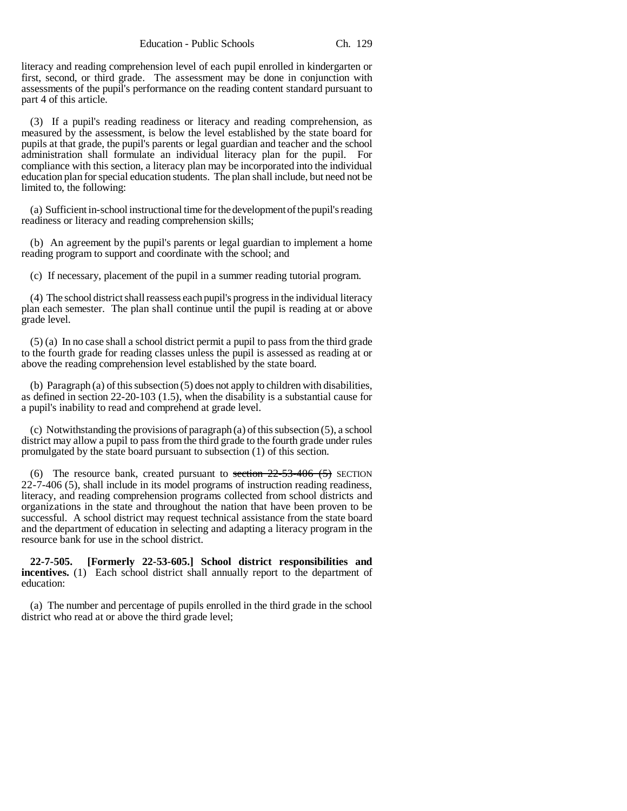literacy and reading comprehension level of each pupil enrolled in kindergarten or first, second, or third grade. The assessment may be done in conjunction with assessments of the pupil's performance on the reading content standard pursuant to part 4 of this article.

(3) If a pupil's reading readiness or literacy and reading comprehension, as measured by the assessment, is below the level established by the state board for pupils at that grade, the pupil's parents or legal guardian and teacher and the school administration shall formulate an individual literacy plan for the pupil. For compliance with this section, a literacy plan may be incorporated into the individual education plan for special education students. The plan shall include, but need not be limited to, the following:

(a) Sufficient in-school instructional time for the development of the pupil's reading readiness or literacy and reading comprehension skills;

(b) An agreement by the pupil's parents or legal guardian to implement a home reading program to support and coordinate with the school; and

(c) If necessary, placement of the pupil in a summer reading tutorial program.

(4) The school district shall reassess each pupil's progress in the individual literacy plan each semester. The plan shall continue until the pupil is reading at or above grade level.

(5) (a) In no case shall a school district permit a pupil to pass from the third grade to the fourth grade for reading classes unless the pupil is assessed as reading at or above the reading comprehension level established by the state board.

(b) Paragraph (a) of this subsection (5) does not apply to children with disabilities, as defined in section 22-20-103 (1.5), when the disability is a substantial cause for a pupil's inability to read and comprehend at grade level.

(c) Notwithstanding the provisions of paragraph (a) of this subsection (5), a school district may allow a pupil to pass from the third grade to the fourth grade under rules promulgated by the state board pursuant to subsection (1) of this section.

(6) The resource bank, created pursuant to section  $22-53-406$  (5) SECTION 22-7-406 (5), shall include in its model programs of instruction reading readiness, literacy, and reading comprehension programs collected from school districts and organizations in the state and throughout the nation that have been proven to be successful. A school district may request technical assistance from the state board and the department of education in selecting and adapting a literacy program in the resource bank for use in the school district.

**22-7-505. [Formerly 22-53-605.] School district responsibilities and incentives.** (1) Each school district shall annually report to the department of education:

(a) The number and percentage of pupils enrolled in the third grade in the school district who read at or above the third grade level;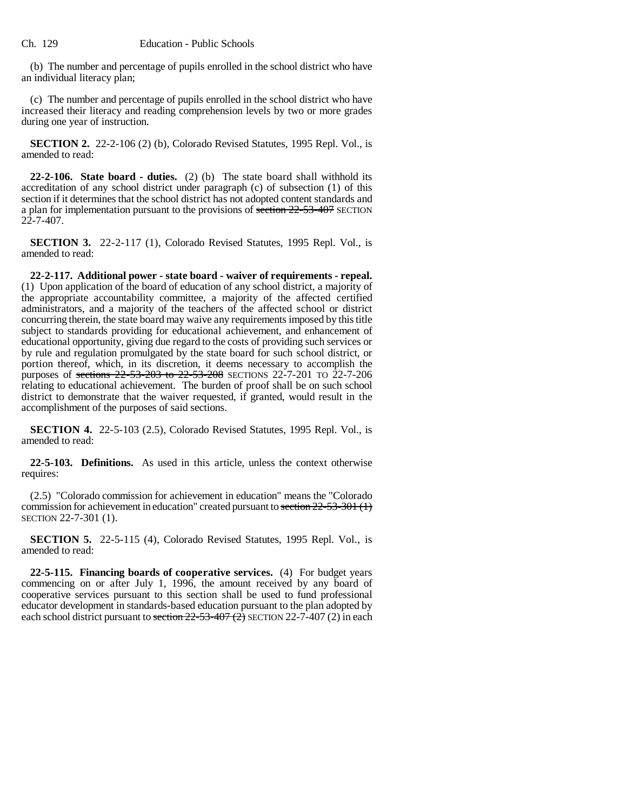(b) The number and percentage of pupils enrolled in the school district who have an individual literacy plan;

(c) The number and percentage of pupils enrolled in the school district who have increased their literacy and reading comprehension levels by two or more grades during one year of instruction.

**SECTION 2.** 22-2-106 (2) (b), Colorado Revised Statutes, 1995 Repl. Vol., is amended to read:

**22-2-106. State board - duties.** (2) (b) The state board shall withhold its accreditation of any school district under paragraph (c) of subsection (1) of this section if it determines that the school district has not adopted content standards and a plan for implementation pursuant to the provisions of section 22-53-407 SECTION  $22 - 7 - 407$ .

**SECTION 3.** 22-2-117 (1), Colorado Revised Statutes, 1995 Repl. Vol., is amended to read:

**22-2-117. Additional power - state board - waiver of requirements - repeal.** (1) Upon application of the board of education of any school district, a majority of the appropriate accountability committee, a majority of the affected certified administrators, and a majority of the teachers of the affected school or district concurring therein, the state board may waive any requirements imposed by this title subject to standards providing for educational achievement, and enhancement of educational opportunity, giving due regard to the costs of providing such services or by rule and regulation promulgated by the state board for such school district, or portion thereof, which, in its discretion, it deems necessary to accomplish the purposes of <del>sections 22-53-203 to 22-53-208</del> SECTIONS 22-7-201 TO 22-7-206 relating to educational achievement. The burden of proof shall be on such school district to demonstrate that the waiver requested, if granted, would result in the accomplishment of the purposes of said sections.

**SECTION 4.** 22-5-103 (2.5), Colorado Revised Statutes, 1995 Repl. Vol., is amended to read:

**22-5-103. Definitions.** As used in this article, unless the context otherwise requires:

(2.5) "Colorado commission for achievement in education" means the "Colorado commission for achievement in education" created pursuant to section 22-53-301 (1) SECTION 22-7-301 (1).

**SECTION 5.** 22-5-115 (4), Colorado Revised Statutes, 1995 Repl. Vol., is amended to read:

**22-5-115. Financing boards of cooperative services.** (4) For budget years commencing on or after July 1, 1996, the amount received by any board of cooperative services pursuant to this section shall be used to fund professional educator development in standards-based education pursuant to the plan adopted by each school district pursuant to section  $22-53-407(2)$  SECTION 22-7-407 (2) in each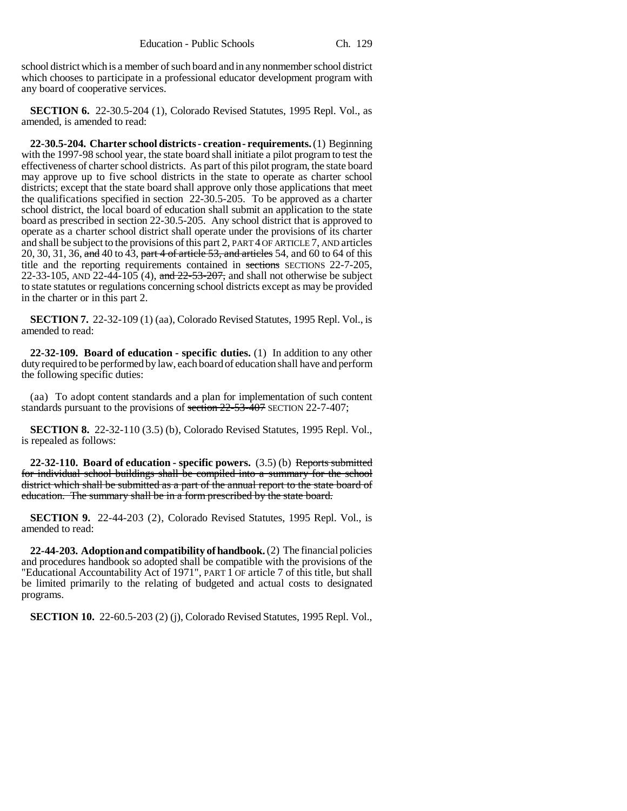school district which is a member of such board and in any nonmember school district which chooses to participate in a professional educator development program with any board of cooperative services.

**SECTION 6.** 22-30.5-204 (1), Colorado Revised Statutes, 1995 Repl. Vol., as amended, is amended to read:

**22-30.5-204. Charter school districts - creation - requirements.** (1) Beginning with the 1997-98 school year, the state board shall initiate a pilot program to test the effectiveness of charter school districts. As part of this pilot program, the state board may approve up to five school districts in the state to operate as charter school districts; except that the state board shall approve only those applications that meet the qualifications specified in section 22-30.5-205. To be approved as a charter school district, the local board of education shall submit an application to the state board as prescribed in section 22-30.5-205. Any school district that is approved to operate as a charter school district shall operate under the provisions of its charter and shall be subject to the provisions of this part 2, PART 4 OF ARTICLE 7, AND articles 20, 30, 31, 36, and 40 to 43, part 4 of article 53, and articles 54, and 60 to 64 of this title and the reporting requirements contained in sections SECTIONS 22-7-205, 22-33-105, AND 22-44-105 (4), and  $22-53-207$ , and shall not otherwise be subject to state statutes or regulations concerning school districts except as may be provided in the charter or in this part 2.

**SECTION 7.** 22-32-109 (1) (aa), Colorado Revised Statutes, 1995 Repl. Vol., is amended to read:

**22-32-109. Board of education - specific duties.** (1) In addition to any other duty required to be performed by law, each board of education shall have and perform the following specific duties:

(aa) To adopt content standards and a plan for implementation of such content standards pursuant to the provisions of section 22-53-407 SECTION 22-7-407;

**SECTION 8.** 22-32-110 (3.5) (b), Colorado Revised Statutes, 1995 Repl. Vol., is repealed as follows:

**22-32-110. Board of education - specific powers.** (3.5) (b) Reports submitted for individual school buildings shall be compiled into a summary for the school district which shall be submitted as a part of the annual report to the state board of education. The summary shall be in a form prescribed by the state board.

**SECTION 9.** 22-44-203 (2), Colorado Revised Statutes, 1995 Repl. Vol., is amended to read:

**22-44-203. Adoption and compatibility of handbook.** (2) The financial policies and procedures handbook so adopted shall be compatible with the provisions of the "Educational Accountability Act of 1971", PART 1 OF article 7 of this title, but shall be limited primarily to the relating of budgeted and actual costs to designated programs.

**SECTION 10.** 22-60.5-203 (2) (j), Colorado Revised Statutes, 1995 Repl. Vol.,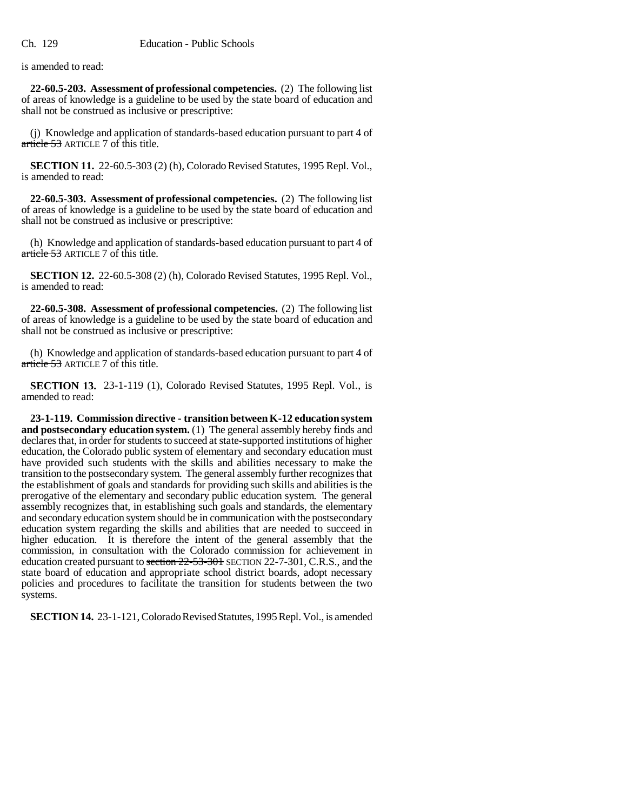is amended to read:

**22-60.5-203. Assessment of professional competencies.** (2) The following list of areas of knowledge is a guideline to be used by the state board of education and shall not be construed as inclusive or prescriptive:

(j) Knowledge and application of standards-based education pursuant to part 4 of article 53 ARTICLE 7 of this title.

**SECTION 11.** 22-60.5-303 (2) (h), Colorado Revised Statutes, 1995 Repl. Vol., is amended to read:

**22-60.5-303. Assessment of professional competencies.** (2) The following list of areas of knowledge is a guideline to be used by the state board of education and shall not be construed as inclusive or prescriptive:

(h) Knowledge and application of standards-based education pursuant to part 4 of article 53 ARTICLE 7 of this title.

**SECTION 12.** 22-60.5-308 (2) (h), Colorado Revised Statutes, 1995 Repl. Vol., is amended to read:

**22-60.5-308. Assessment of professional competencies.** (2) The following list of areas of knowledge is a guideline to be used by the state board of education and shall not be construed as inclusive or prescriptive:

(h) Knowledge and application of standards-based education pursuant to part 4 of article 53 ARTICLE 7 of this title.

**SECTION 13.** 23-1-119 (1), Colorado Revised Statutes, 1995 Repl. Vol., is amended to read:

**23-1-119. Commission directive - transition between K-12 education system and postsecondary education system.** (1) The general assembly hereby finds and declares that, in order for students to succeed at state-supported institutions of higher education, the Colorado public system of elementary and secondary education must have provided such students with the skills and abilities necessary to make the transition to the postsecondary system. The general assembly further recognizes that the establishment of goals and standards for providing such skills and abilities is the prerogative of the elementary and secondary public education system. The general assembly recognizes that, in establishing such goals and standards, the elementary and secondary education system should be in communication with the postsecondary education system regarding the skills and abilities that are needed to succeed in higher education. It is therefore the intent of the general assembly that the commission, in consultation with the Colorado commission for achievement in education created pursuant to section 22-53-301 SECTION 22-7-301, C.R.S., and the state board of education and appropriate school district boards, adopt necessary policies and procedures to facilitate the transition for students between the two systems.

**SECTION 14.** 23-1-121, Colorado Revised Statutes, 1995 Repl. Vol., is amended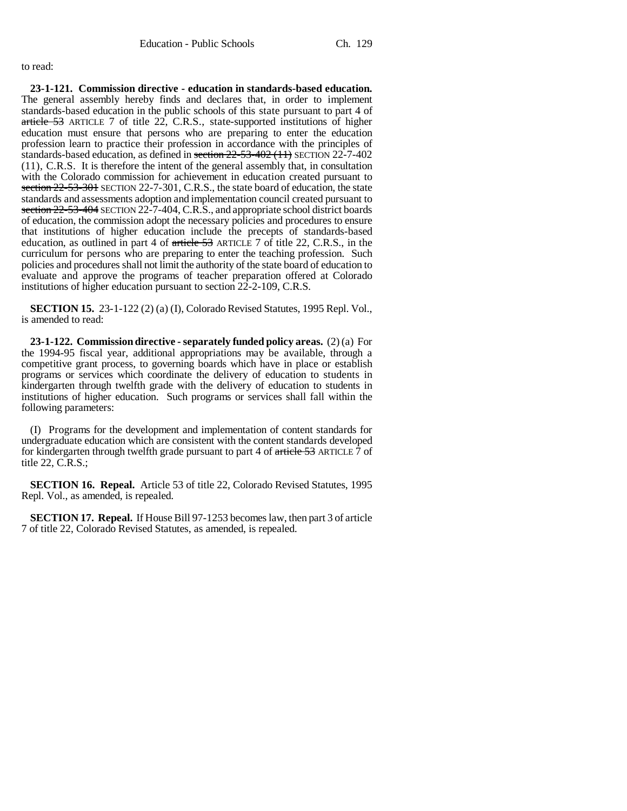#### to read:

**23-1-121. Commission directive - education in standards-based education.** The general assembly hereby finds and declares that, in order to implement standards-based education in the public schools of this state pursuant to part 4 of article 53 ARTICLE 7 of title 22, C.R.S., state-supported institutions of higher education must ensure that persons who are preparing to enter the education profession learn to practice their profession in accordance with the principles of standards-based education, as defined in section 22-53-402 (11) SECTION 22-7-402 (11), C.R.S. It is therefore the intent of the general assembly that, in consultation with the Colorado commission for achievement in education created pursuant to section  $22-53-301$  SECTION 22-7-301, C.R.S., the state board of education, the state standards and assessments adoption and implementation council created pursuant to section 22-53-404 SECTION 22-7-404, C.R.S., and appropriate school district boards of education, the commission adopt the necessary policies and procedures to ensure that institutions of higher education include the precepts of standards-based education, as outlined in part 4 of article 53 ARTICLE 7 of title 22, C.R.S., in the curriculum for persons who are preparing to enter the teaching profession. Such policies and procedures shall not limit the authority of the state board of education to evaluate and approve the programs of teacher preparation offered at Colorado institutions of higher education pursuant to section 22-2-109, C.R.S.

**SECTION 15.** 23-1-122 (2) (a) (I), Colorado Revised Statutes, 1995 Repl. Vol., is amended to read:

**23-1-122. Commission directive - separately funded policy areas.** (2) (a) For the 1994-95 fiscal year, additional appropriations may be available, through a competitive grant process, to governing boards which have in place or establish programs or services which coordinate the delivery of education to students in kindergarten through twelfth grade with the delivery of education to students in institutions of higher education. Such programs or services shall fall within the following parameters:

(I) Programs for the development and implementation of content standards for undergraduate education which are consistent with the content standards developed for kindergarten through twelfth grade pursuant to part 4 of  $\pi$  tiele 53 ARTICLE  $\bar{7}$  of title 22, C.R.S.;

**SECTION 16. Repeal.** Article 53 of title 22, Colorado Revised Statutes, 1995 Repl. Vol., as amended, is repealed.

**SECTION 17. Repeal.** If House Bill 97-1253 becomes law, then part 3 of article 7 of title 22, Colorado Revised Statutes, as amended, is repealed.